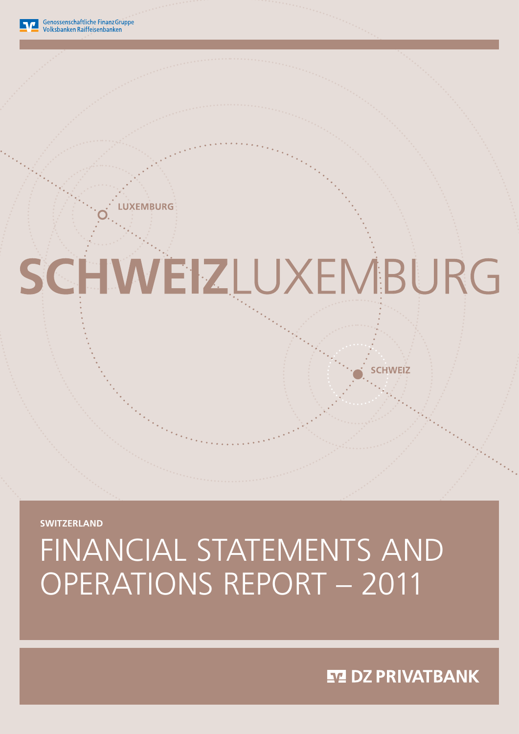# Financial statements and operations report – 2011

**Switzerland**

# SCHWEIZLUXEMBURG

**XEMBURG** 

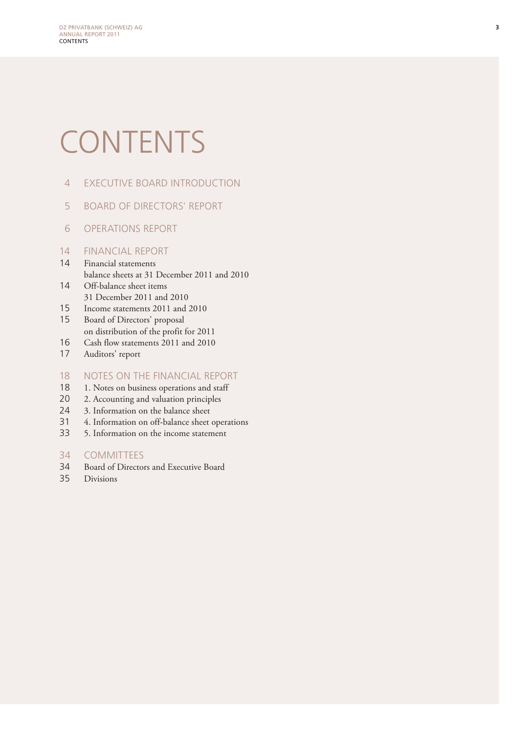# **CONTENTS**

- 4 Executive Board introduction
- 5 Board of Directors' Report
- 6 Operations report

#### 14 Financial report

- 14 Financial statements balance sheets at 31 December 2011 and 2010 14 Off-balance sheet items
- 31 December 2011 and 2010
- 15 Income statements 2011 and 2010
- 15 Board of Directors' proposal on distribution of the profit for 2011
- 16 Cash flow statements 2011 and 2010
- 17 Auditors' report

#### 18 NOTES ON THE FINANCIAL REPORT

- 18 1. Notes on business operations and staff
- 20 2. Accounting and valuation principles
- 24 3. Information on the balance sheet
- 31 4. Information on off-balance sheet operations
- 33 5. Information on the income statement

#### 34 Committees

- 34 Board of Directors and Executive Board
- 35 Divisions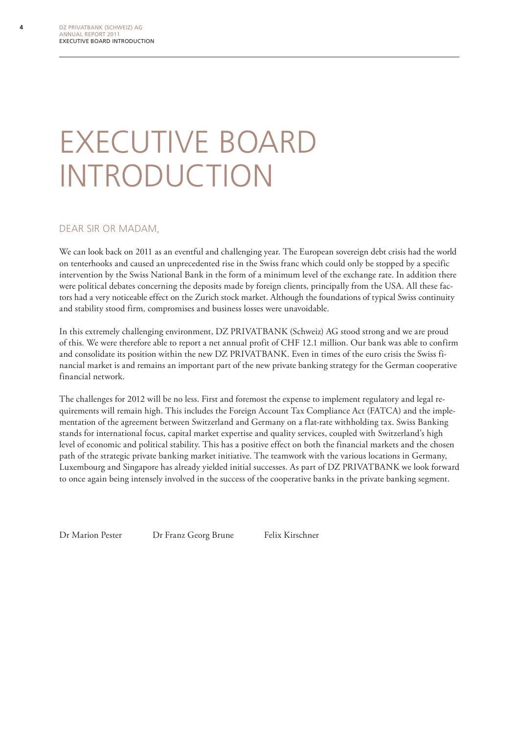# Executive Board **INTRODUCTION**

#### Dear Sir or Madam,

We can look back on 2011 as an eventful and challenging year. The European sovereign debt crisis had the world on tenterhooks and caused an unprecedented rise in the Swiss franc which could only be stopped by a specific intervention by the Swiss National Bank in the form of a minimum level of the exchange rate. In addition there were political debates concerning the deposits made by foreign clients, principally from the USA. All these factors had a very noticeable effect on the Zurich stock market. Although the foundations of typical Swiss continuity and stability stood firm, compromises and business losses were unavoidable.

In this extremely challenging environment, DZ PRIVATBANK (Schweiz) AG stood strong and we are proud of this. We were therefore able to report a net annual profit of CHF 12.1 million. Our bank was able to confirm and consolidate its position within the new DZ PRIVATBANK. Even in times of the euro crisis the Swiss financial market is and remains an important part of the new private banking strategy for the German cooperative financial network.

The challenges for 2012 will be no less. First and foremost the expense to implement regulatory and legal requirements will remain high. This includes the Foreign Account Tax Compliance Act (FATCA) and the implementation of the agreement between Switzerland and Germany on a flat-rate withholding tax. Swiss Banking stands for international focus, capital market expertise and quality services, coupled with Switzerland's high level of economic and political stability. This has a positive effect on both the financial markets and the chosen path of the strategic private banking market initiative. The teamwork with the various locations in Germany, Luxembourg and Singapore has already yielded initial successes. As part of DZ PRIVATBANK we look forward to once again being intensely involved in the success of the cooperative banks in the private banking segment.

Dr Marion Pester Dr Franz Georg Brune Felix Kirschner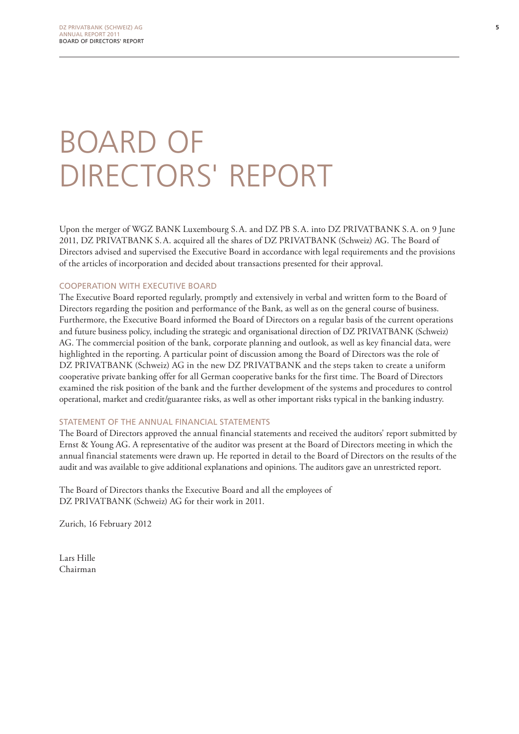# Board of DIRECTORS' REPORT

Upon the merger of WGZ BANK Luxembourg S.A. and DZ PB S.A. into DZ PRIVATBANK S.A. on 9 June 2011, DZ PRIVATBANK S.A. acquired all the shares of DZ PRIVATBANK (Schweiz) AG. The Board of Directors advised and supervised the Executive Board in accordance with legal requirements and the provisions of the articles of incorporation and decided about transactions presented for their approval.

#### Cooperation with Executive Board

The Executive Board reported regularly, promptly and extensively in verbal and written form to the Board of Directors regarding the position and performance of the Bank, as well as on the general course of business. Furthermore, the Executive Board informed the Board of Directors on a regular basis of the current operations and future business policy, including the strategic and organisational direction of DZ PRIVATBANK (Schweiz) AG. The commercial position of the bank, corporate planning and outlook, as well as key financial data, were highlighted in the reporting. A particular point of discussion among the Board of Directors was the role of DZ PRIVATBANK (Schweiz) AG in the new DZ PRIVATBANK and the steps taken to create a uniform cooperative private banking offer for all German cooperative banks for the first time. The Board of Directors examined the risk position of the bank and the further development of the systems and procedures to control operational, market and credit/guarantee risks, as well as other important risks typical in the banking industry.

#### STATEMENT OF THE ANNUAL FINANCIAL STATEMENTS

The Board of Directors approved the annual financial statements and received the auditors' report submitted by Ernst & Young AG. A representative of the auditor was present at the Board of Directors meeting in which the annual financial statements were drawn up. He reported in detail to the Board of Directors on the results of the audit and was available to give additional explanations and opinions. The auditors gave an unrestricted report.

The Board of Directors thanks the Executive Board and all the employees of DZ PRIVATBANK (Schweiz) AG for their work in 2011.

Zurich, 16 February 2012

Lars Hille Chairman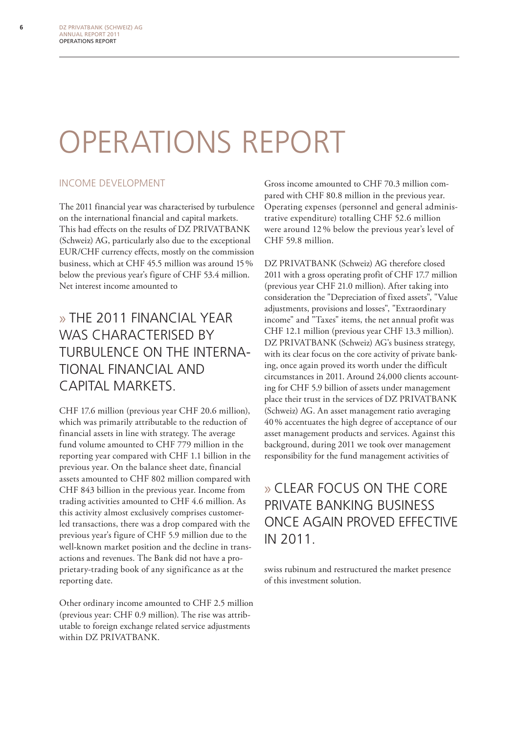# Operations report

#### Income development

The 2011 financial year was characterised by turbulence on the international financial and capital markets. This had effects on the results of DZ PRIVATBANK (Schweiz) AG, particularly also due to the exceptional EUR/CHF currency effects, mostly on the commission business, which at CHF 45.5 million was around 15% below the previous year's figure of CHF 53.4 million. Net interest income amounted to

### » The 2011 financial year WAS CHARACTERISED BY turbulence on the international financial and capital markets.

CHF 17.6 million (previous year CHF 20.6 million), which was primarily attributable to the reduction of financial assets in line with strategy. The average fund volume amounted to CHF 779 million in the reporting year compared with CHF 1.1 billion in the previous year. On the balance sheet date, financial assets amounted to CHF 802 million compared with CHF 843 billion in the previous year. Income from trading activities amounted to CHF 4.6 million. As this activity almost exclusively comprises customerled transactions, there was a drop compared with the previous year's figure of CHF 5.9 million due to the well-known market position and the decline in transactions and revenues. The Bank did not have a proprietary-trading book of any significance as at the reporting date.

Other ordinary income amounted to CHF 2.5 million (previous year: CHF 0.9 million). The rise was attributable to foreign exchange related service adjustments within DZ PRIVATBANK.

Gross income amounted to CHF 70.3 million compared with CHF 80.8 million in the previous year. Operating expenses (personnel and general administrative expenditure) totalling CHF 52.6 million were around 12 % below the previous year's level of CHF 59.8 million.

DZ PRIVATBANK (Schweiz) AG therefore closed 2011 with a gross operating profit of CHF 17.7 million (previous year CHF 21.0 million). After taking into consideration the "Depreciation of fixed assets", "Value adjustments, provisions and losses", "Extraordinary income" and "Taxes" items, the net annual profit was CHF 12.1 million (previous year CHF 13.3 million). DZ PRIVATBANK (Schweiz) AG's business strategy, with its clear focus on the core activity of private banking, once again proved its worth under the difficult circumstances in 2011. Around 24,000 clients accounting for CHF 5.9 billion of assets under management place their trust in the services of DZ PRIVATBANK (Schweiz) AG. An asset management ratio averaging 40% accentuates the high degree of acceptance of our asset management products and services. Against this background, during 2011 we took over management responsibility for the fund management activities of

### » Clear focus on the core private banking business once again proved effective in 2011.

swiss rubinum and restructured the market presence of this investment solution.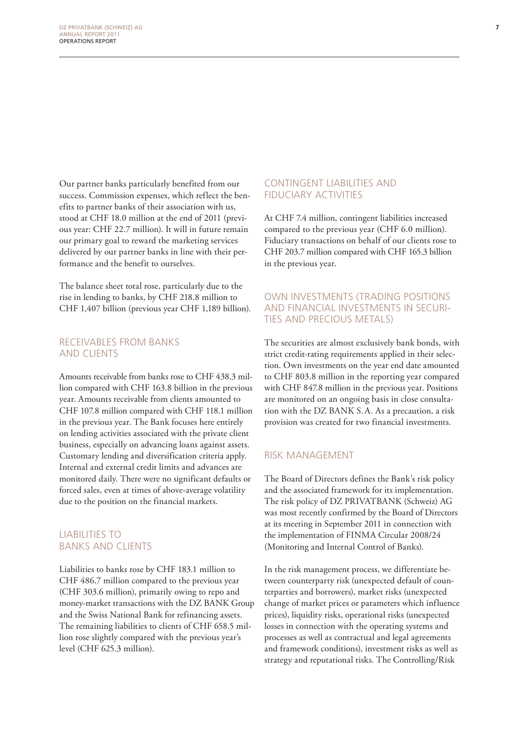Our partner banks particularly benefited from our success. Commission expenses, which reflect the benefits to partner banks of their association with us, stood at CHF 18.0 million at the end of 2011 (previous year: CHF 22.7 million). It will in future remain our primary goal to reward the marketing services delivered by our partner banks in line with their performance and the benefit to ourselves.

The balance sheet total rose, particularly due to the rise in lending to banks, by CHF 218.8 million to CHF 1,407 billion (previous year CHF 1,189 billion).

#### Receivables from banks and clients

Amounts receivable from banks rose to CHF 438.3 million compared with CHF 163.8 billion in the previous year. Amounts receivable from clients amounted to CHF 107.8 million compared with CHF 118.1 million in the previous year. The Bank focuses here entirely on lending activities associated with the private client business, especially on advancing loans against assets. Customary lending and diversification criteria apply. Internal and external credit limits and advances are monitored daily. There were no significant defaults or forced sales, even at times of above-average volatility due to the position on the financial markets.

#### Liabilities to banks and clients

Liabilities to banks rose by CHF 183.1 million to CHF 486.7 million compared to the previous year (CHF 303.6 million), primarily owing to repo and money-market transactions with the DZ BANK Group and the Swiss National Bank for refinancing assets. The remaining liabilities to clients of CHF 658.5 million rose slightly compared with the previous year's level (CHF 625.3 million).

#### Contingent liabilities and fiduciary activities

At CHF 7.4 million, contingent liabilities increased compared to the previous year (CHF 6.0 million). Fiduciary transactions on behalf of our clients rose to CHF 203.7 million compared with CHF 165.3 billion in the previous year.

#### Own investments (trading positions and financial investments in securities and precious metals)

The securities are almost exclusively bank bonds, with strict credit-rating requirements applied in their selection. Own investments on the year end date amounted to CHF 803.8 million in the reporting year compared with CHF 847.8 million in the previous year. Positions are monitored on an ongoing basis in close consultation with the DZ BANK S.A. As a precaution, a risk provision was created for two financial investments.

#### Risk management

The Board of Directors defines the Bank's risk policy and the associated framework for its implementation. The risk policy of DZ PRIVATBANK (Schweiz) AG was most recently confirmed by the Board of Directors at its meeting in September 2011 in connection with the implementation of FINMA Circular 2008/24 (Monitoring and Internal Control of Banks).

In the risk management process, we differentiate between counterparty risk (unexpected default of counterparties and borrowers), market risks (unexpected change of market prices or parameters which influence prices), liquidity risks, operational risks (unexpected losses in connection with the operating systems and processes as well as contractual and legal agreements and framework conditions), investment risks as well as strategy and reputational risks. The Controlling/Risk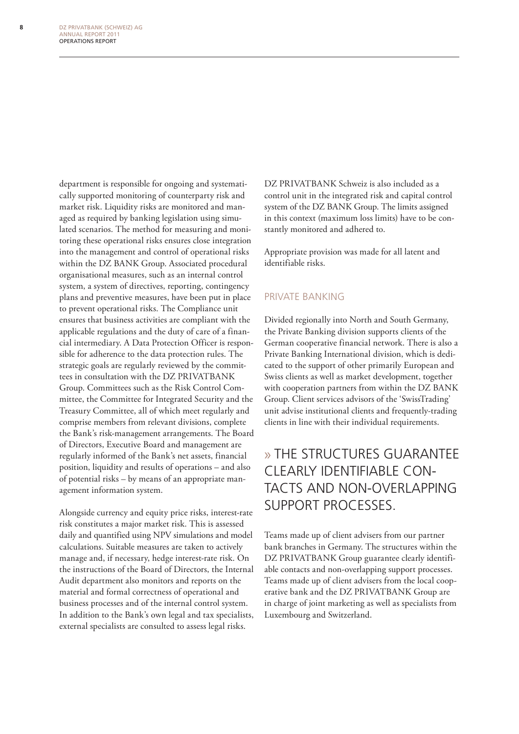department is responsible for ongoing and systematically supported monitoring of counterparty risk and market risk. Liquidity risks are monitored and managed as required by banking legislation using simulated scenarios. The method for measuring and monitoring these operational risks ensures close integration into the management and control of operational risks within the DZ BANK Group. Associated procedural organisational measures, such as an internal control system, a system of directives, reporting, contingency plans and preventive measures, have been put in place to prevent operational risks. The Compliance unit ensures that business activities are compliant with the applicable regulations and the duty of care of a financial intermediary. A Data Protection Officer is responsible for adherence to the data protection rules. The strategic goals are regularly reviewed by the committees in consultation with the DZ PRIVATBANK Group. Committees such as the Risk Control Committee, the Committee for Integrated Security and the Treasury Committee, all of which meet regularly and comprise members from relevant divisions, complete the Bank's risk-management arrangements. The Board of Directors, Executive Board and management are regularly informed of the Bank's net assets, financial position, liquidity and results of operations – and also of potential risks – by means of an appropriate management information system.

Alongside currency and equity price risks, interest-rate risk constitutes a major market risk. This is assessed daily and quantified using NPV simulations and model calculations. Suitable measures are taken to actively manage and, if necessary, hedge interest-rate risk. On the instructions of the Board of Directors, the Internal Audit department also monitors and reports on the material and formal correctness of operational and business processes and of the internal control system. In addition to the Bank's own legal and tax specialists, external specialists are consulted to assess legal risks.

DZ PRIVATBANK Schweiz is also included as a control unit in the integrated risk and capital control system of the DZ BANK Group. The limits assigned in this context (maximum loss limits) have to be constantly monitored and adhered to.

Appropriate provision was made for all latent and identifiable risks.

#### Private banking

Divided regionally into North and South Germany, the Private Banking division supports clients of the German cooperative financial network. There is also a Private Banking International division, which is dedicated to the support of other primarily European and Swiss clients as well as market development, together with cooperation partners from within the DZ BANK Group. Client services advisors of the 'SwissTrading' unit advise institutional clients and frequently-trading clients in line with their individual requirements.

### » The structures guarantee clearly identifiable contacts and non-overlapping support processes.

Teams made up of client advisers from our partner bank branches in Germany. The structures within the DZ PRIVATBANK Group guarantee clearly identifiable contacts and non-overlapping support processes. Teams made up of client advisers from the local cooperative bank and the DZ PRIVATBANK Group are in charge of joint marketing as well as specialists from Luxembourg and Switzerland.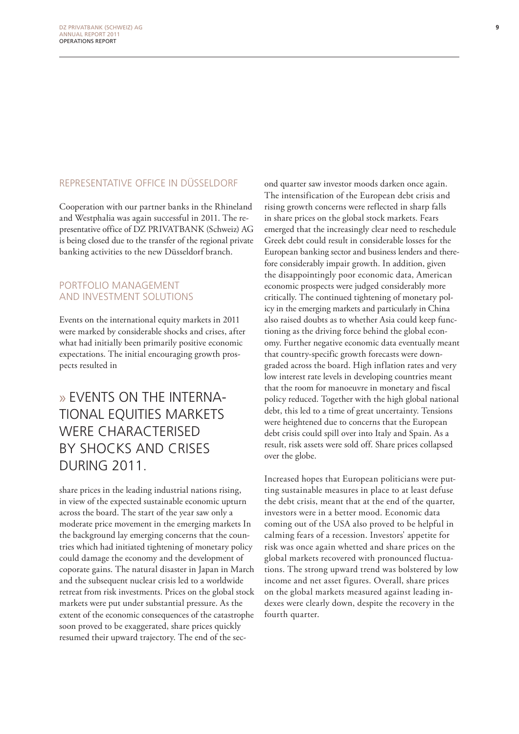#### Representative office in Düsseldorf

Cooperation with our partner banks in the Rhineland and Westphalia was again successful in 2011. The representative office of DZ PRIVATBANK (Schweiz) AG is being closed due to the transfer of the regional private banking activities to the new Düsseldorf branch.

#### Portfolio management and investment solutions

Events on the international equity markets in 2011 were marked by considerable shocks and crises, after what had initially been primarily positive economic expectations. The initial encouraging growth prospects resulted in

### » Events on the international equities markets were characterised by shocks and crises during 2011.

share prices in the leading industrial nations rising, in view of the expected sustainable economic upturn across the board. The start of the year saw only a moderate price movement in the emerging markets In the background lay emerging concerns that the countries which had initiated tightening of monetary policy could damage the economy and the development of coporate gains. The natural disaster in Japan in March and the subsequent nuclear crisis led to a worldwide retreat from risk investments. Prices on the global stock markets were put under substantial pressure. As the extent of the economic consequences of the catastrophe soon proved to be exaggerated, share prices quickly resumed their upward trajectory. The end of the sec-

ond quarter saw investor moods darken once again. The intensification of the European debt crisis and rising growth concerns were reflected in sharp falls in share prices on the global stock markets. Fears emerged that the increasingly clear need to reschedule Greek debt could result in considerable losses for the European banking sector and business lenders and therefore considerably impair growth. In addition, given the disappointingly poor economic data, American economic prospects were judged considerably more critically. The continued tightening of monetary policy in the emerging markets and particularly in China also raised doubts as to whether Asia could keep functioning as the driving force behind the global economy. Further negative economic data eventually meant that country-specific growth forecasts were downgraded across the board. High inflation rates and very low interest rate levels in developing countries meant that the room for manoeuvre in monetary and fiscal policy reduced. Together with the high global national debt, this led to a time of great uncertainty. Tensions were heightened due to concerns that the European debt crisis could spill over into Italy and Spain. As a result, risk assets were sold off. Share prices collapsed over the globe.

Increased hopes that European politicians were putting sustainable measures in place to at least defuse the debt crisis, meant that at the end of the quarter, investors were in a better mood. Economic data coming out of the USA also proved to be helpful in calming fears of a recession. Investors' appetite for risk was once again whetted and share prices on the global markets recovered with pronounced fluctuations. The strong upward trend was bolstered by low income and net asset figures. Overall, share prices on the global markets measured against leading indexes were clearly down, despite the recovery in the fourth quarter.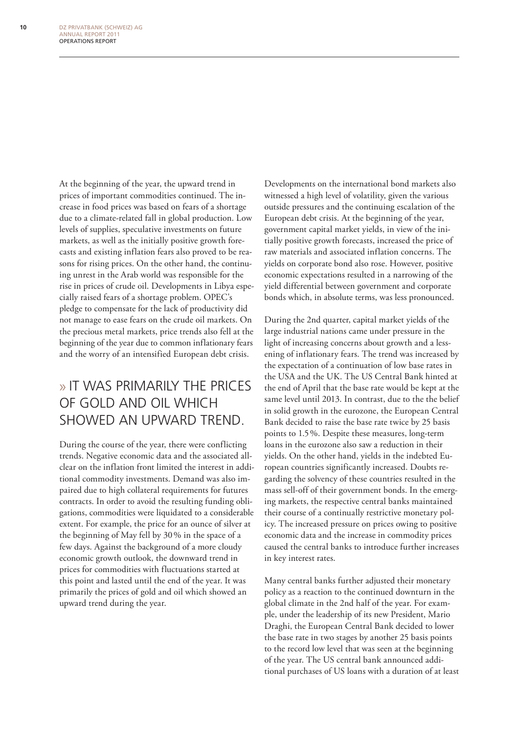At the beginning of the year, the upward trend in prices of important commodities continued. The increase in food prices was based on fears of a shortage due to a climate-related fall in global production. Low levels of supplies, speculative investments on future markets, as well as the initially positive growth forecasts and existing inflation fears also proved to be reasons for rising prices. On the other hand, the continuing unrest in the Arab world was responsible for the rise in prices of crude oil. Developments in Libya especially raised fears of a shortage problem. OPEC's pledge to compensate for the lack of productivity did not manage to ease fears on the crude oil markets. On the precious metal markets, price trends also fell at the beginning of the year due to common inflationary fears and the worry of an intensified European debt crisis.

### » It was primarily the prices of gold and oil which showed an upward trend.

During the course of the year, there were conflicting trends. Negative economic data and the associated allclear on the inflation front limited the interest in additional commodity investments. Demand was also impaired due to high collateral requirements for futures contracts. In order to avoid the resulting funding obligations, commodities were liquidated to a considerable extent. For example, the price for an ounce of silver at the beginning of May fell by 30% in the space of a few days. Against the background of a more cloudy economic growth outlook, the downward trend in prices for commodities with fluctuations started at this point and lasted until the end of the year. It was primarily the prices of gold and oil which showed an upward trend during the year.

Developments on the international bond markets also witnessed a high level of volatility, given the various outside pressures and the continuing escalation of the European debt crisis. At the beginning of the year, government capital market yields, in view of the initially positive growth forecasts, increased the price of raw materials and associated inflation concerns. The yields on corporate bond also rose. However, positive economic expectations resulted in a narrowing of the yield differential between government and corporate bonds which, in absolute terms, was less pronounced.

During the 2nd quarter, capital market yields of the large industrial nations came under pressure in the light of increasing concerns about growth and a lessening of inflationary fears. The trend was increased by the expectation of a continuation of low base rates in the USA and the UK. The US Central Bank hinted at the end of April that the base rate would be kept at the same level until 2013. In contrast, due to the the belief in solid growth in the eurozone, the European Central Bank decided to raise the base rate twice by 25 basis points to 1.5%. Despite these measures, long-term loans in the eurozone also saw a reduction in their yields. On the other hand, yields in the indebted European countries significantly increased. Doubts regarding the solvency of these countries resulted in the mass sell-off of their government bonds. In the emerging markets, the respective central banks maintained their course of a continually restrictive monetary policy. The increased pressure on prices owing to positive economic data and the increase in commodity prices caused the central banks to introduce further increases in key interest rates.

Many central banks further adjusted their monetary policy as a reaction to the continued downturn in the global climate in the 2nd half of the year. For example, under the leadership of its new President, Mario Draghi, the European Central Bank decided to lower the base rate in two stages by another 25 basis points to the record low level that was seen at the beginning of the year. The US central bank announced additional purchases of US loans with a duration of at least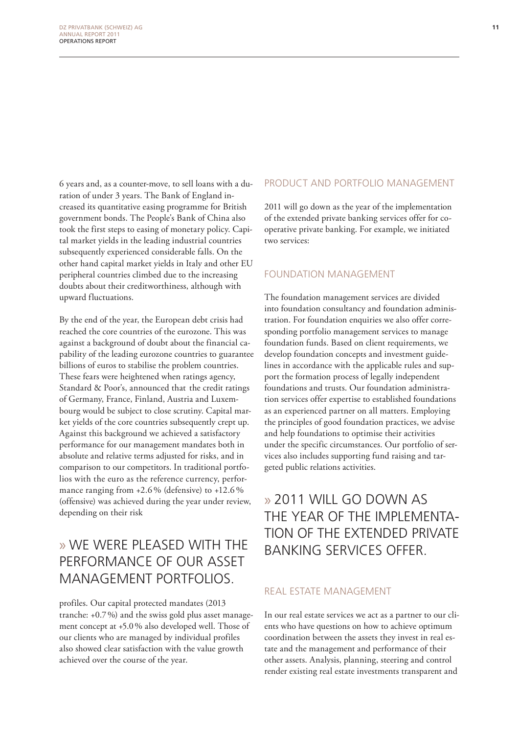6 years and, as a counter-move, to sell loans with a duration of under 3 years. The Bank of England increased its quantitative easing programme for British government bonds. The People's Bank of China also took the first steps to easing of monetary policy. Capital market yields in the leading industrial countries subsequently experienced considerable falls. On the other hand capital market yields in Italy and other EU peripheral countries climbed due to the increasing doubts about their creditworthiness, although with upward fluctuations.

By the end of the year, the European debt crisis had reached the core countries of the eurozone. This was against a background of doubt about the financial capability of the leading eurozone countries to guarantee billions of euros to stabilise the problem countries. These fears were heightened when ratings agency, Standard & Poor's, announced that the credit ratings of Germany, France, Finland, Austria and Luxembourg would be subject to close scrutiny. Capital market yields of the core countries subsequently crept up. Against this background we achieved a satisfactory performance for our management mandates both in absolute and relative terms adjusted for risks, and in comparison to our competitors. In traditional portfolios with the euro as the reference currency, performance ranging from  $+2.6\%$  (defensive) to  $+12.6\%$ (offensive) was achieved during the year under review, depending on their risk

### » We were pleased with the performance of our asset management portfolios.

profiles. Our capital protected mandates (2013 tranche: +0.7%) and the swiss gold plus asset management concept at +5.0% also developed well. Those of our clients who are managed by individual profiles also showed clear satisfaction with the value growth achieved over the course of the year.

#### Product and portfolio management

2011 will go down as the year of the implementation of the extended private banking services offer for cooperative private banking. For example, we initiated two services:

#### Foundation management

The foundation management services are divided into foundation consultancy and foundation administration. For foundation enquiries we also offer corresponding portfolio management services to manage foundation funds. Based on client requirements, we develop foundation concepts and investment guidelines in accordance with the applicable rules and support the formation process of legally independent foundations and trusts. Our foundation administration services offer expertise to established foundations as an experienced partner on all matters. Employing the principles of good foundation practices, we advise and help foundations to optimise their activities under the specific circumstances. Our portfolio of services also includes supporting fund raising and targeted public relations activities.

### » 2011 will go down as the year of the implementation of the extended private banking services offer.

#### Real estate management

In our real estate services we act as a partner to our clients who have questions on how to achieve optimum coordination between the assets they invest in real estate and the management and performance of their other assets. Analysis, planning, steering and control render existing real estate investments transparent and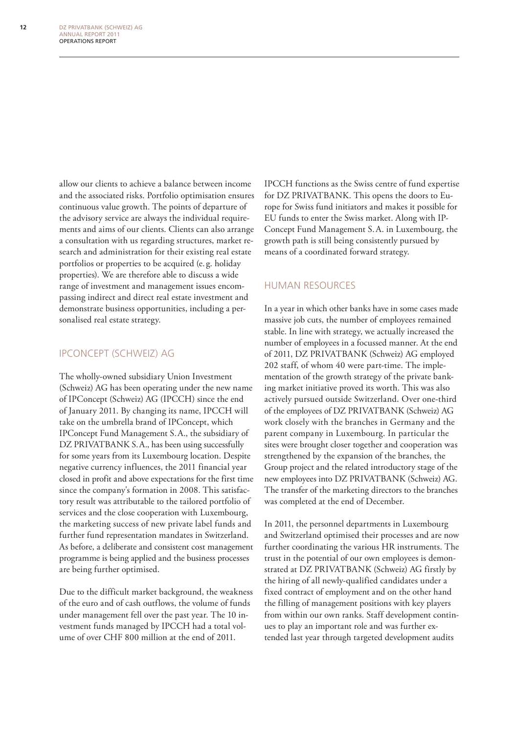allow our clients to achieve a balance between income and the associated risks. Portfolio optimisation ensures continuous value growth. The points of departure of the advisory service are always the individual requirements and aims of our clients. Clients can also arrange a consultation with us regarding structures, market research and administration for their existing real estate portfolios or properties to be acquired (e. g. holiday properties). We are therefore able to discuss a wide range of investment and management issues encompassing indirect and direct real estate investment and demonstrate business opportunities, including a personalised real estate strategy.

#### IPConcept (Schweiz) AG

The wholly-owned subsidiary Union Investment (Schweiz) AG has been operating under the new name of IPConcept (Schweiz) AG (IPCCH) since the end of January 2011. By changing its name, IPCCH will take on the umbrella brand of IPConcept, which IPConcept Fund Management S.A., the subsidiary of DZ PRIVATBANK S.A., has been using successfully for some years from its Luxembourg location. Despite negative currency influences, the 2011 financial year closed in profit and above expectations for the first time since the company's formation in 2008. This satisfactory result was attributable to the tailored portfolio of services and the close cooperation with Luxembourg, the marketing success of new private label funds and further fund representation mandates in Switzerland. As before, a deliberate and consistent cost management programme is being applied and the business processes are being further optimised.

Due to the difficult market background, the weakness of the euro and of cash outflows, the volume of funds under management fell over the past year. The 10 investment funds managed by IPCCH had a total volume of over CHF 800 million at the end of 2011.

IPCCH functions as the Swiss centre of fund expertise for DZ PRIVATBANK. This opens the doors to Europe for Swiss fund initiators and makes it possible for EU funds to enter the Swiss market. Along with IP-Concept Fund Management S.A. in Luxembourg, the growth path is still being consistently pursued by means of a coordinated forward strategy.

#### Human Resources

In a year in which other banks have in some cases made massive job cuts, the number of employees remained stable. In line with strategy, we actually increased the number of employees in a focussed manner. At the end of 2011, DZ PRIVATBANK (Schweiz) AG employed 202 staff, of whom 40 were part-time. The implementation of the growth strategy of the private banking market initiative proved its worth. This was also actively pursued outside Switzerland. Over one-third of the employees of DZ PRIVATBANK (Schweiz) AG work closely with the branches in Germany and the parent company in Luxembourg. In particular the sites were brought closer together and cooperation was strengthened by the expansion of the branches, the Group project and the related introductory stage of the new employees into DZ PRIVATBANK (Schweiz) AG. The transfer of the marketing directors to the branches was completed at the end of December.

In 2011, the personnel departments in Luxembourg and Switzerland optimised their processes and are now further coordinating the various HR instruments. The trust in the potential of our own employees is demonstrated at DZ PRIVATBANK (Schweiz) AG firstly by the hiring of all newly-qualified candidates under a fixed contract of employment and on the other hand the filling of management positions with key players from within our own ranks. Staff development continues to play an important role and was further extended last year through targeted development audits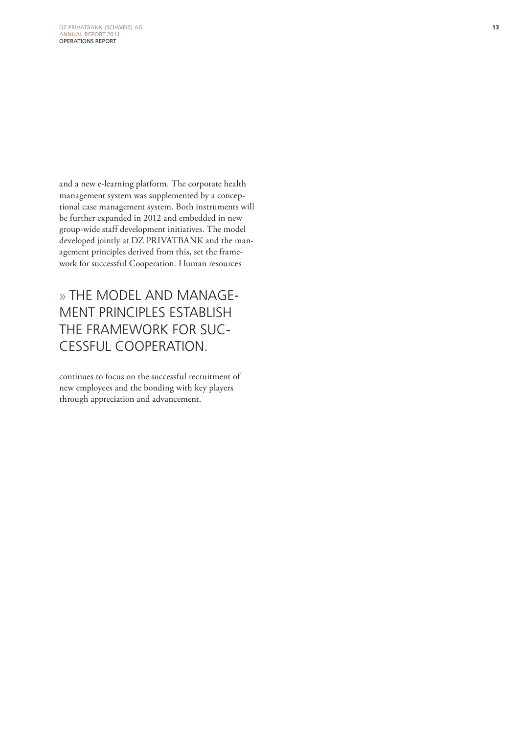and a new e-learning platform. The corporate health management system was supplemented by a conceptional case management system. Both instruments will be further expanded in 2012 and embedded in new group-wide staff development initiatives. The model developed jointly at DZ PRIVATBANK and the management principles derived from this, set the framework for successful Cooperation. Human resources

» The model and management principles establish the framework for successful cooperation.

continues to focus on the successful recruitment of new employees and the bonding with key players through appreciation and advancement.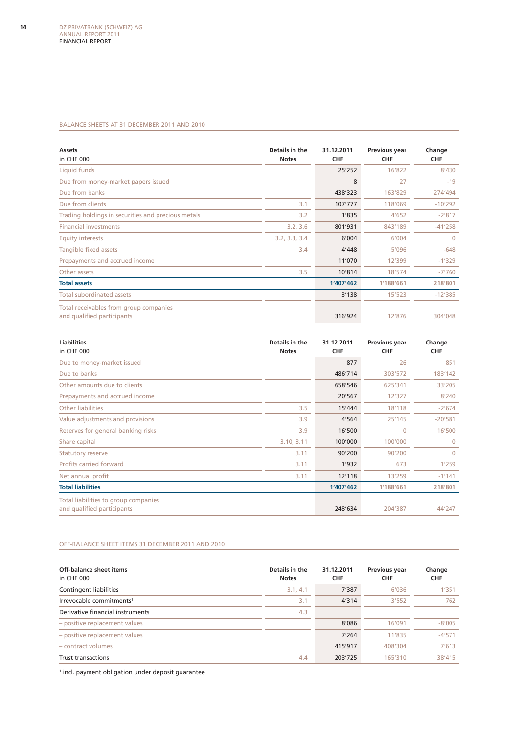#### Balance sheets at 31 December 2011 and 2010

| <b>Assets</b><br>in CHF 000                                          | Details in the<br><b>Notes</b> | 31.12.2011<br><b>CHF</b> | Previous year<br><b>CHF</b> | Change<br><b>CHF</b> |
|----------------------------------------------------------------------|--------------------------------|--------------------------|-----------------------------|----------------------|
| Liquid funds                                                         |                                | 25'252                   | 16'822                      | 8'430                |
| Due from money-market papers issued                                  |                                | 8                        | 27                          | $-19$                |
| Due from banks                                                       |                                | 438'323                  | 163'829                     | 274'494              |
| Due from clients                                                     | 3.1                            | 107'777                  | 118'069                     | $-10'292$            |
| Trading holdings in securities and precious metals                   | 3.2                            | 1'835                    | 4'652                       | $-2'817$             |
| <b>Financial investments</b>                                         | 3.2, 3.6                       | 801'931                  | 843'189                     | $-41'258$            |
| <b>Equity interests</b>                                              | 3.2, 3.3, 3.4                  | 6'004                    | 6'004                       | $\Omega$             |
| Tangible fixed assets                                                | 3.4                            | 4'448                    | 5'096                       | $-648$               |
| Prepayments and accrued income                                       |                                | 11'070                   | 12'399                      | $-1'329$             |
| Other assets                                                         | 3.5                            | 10'814                   | 18'574                      | $-7'760$             |
| <b>Total assets</b>                                                  |                                | 1'407'462                | 1'188'661                   | 218'801              |
| <b>Total subordinated assets</b>                                     |                                | 3'138                    | 15'523                      | $-12'385$            |
| Total receivables from group companies<br>and qualified participants |                                | 316'924                  | 12'876                      | 304'048              |

| <b>Liabilities</b><br>in CHF 000                                   | Details in the<br><b>Notes</b> | 31.12.2011<br><b>CHF</b> | Previous year<br><b>CHF</b> | Change<br><b>CHF</b> |
|--------------------------------------------------------------------|--------------------------------|--------------------------|-----------------------------|----------------------|
| Due to money-market issued                                         |                                | 877                      | 26                          | 851                  |
| Due to banks                                                       |                                | 486'714                  | 303'572                     | 183'142              |
| Other amounts due to clients                                       |                                | 658'546                  | 625'341                     | 33'205               |
| Prepayments and accrued income                                     |                                | 20'567                   | 12'327                      | 8'240                |
| <b>Other liabilities</b>                                           | 3.5                            | 15'444                   | 18'118                      | $-2'674$             |
| Value adjustments and provisions                                   | 3.9                            | 4'564                    | 25'145                      | $-20'581$            |
| Reserves for general banking risks                                 | 3.9                            | 16'500                   | $\mathbf{0}$                | 16'500               |
| Share capital                                                      | 3.10, 3.11                     | 100'000                  | 100'000                     | $\Omega$             |
| Statutory reserve                                                  | 3.11                           | 90'200                   | 90'200                      | $\Omega$             |
| Profits carried forward                                            | 3.11                           | 1'932                    | 673                         | 1'259                |
| Net annual profit                                                  | 3.11                           | 12'118                   | 13'259                      | $-1'141$             |
| <b>Total liabilities</b>                                           |                                | 1'407'462                | 1'188'661                   | 218'801              |
| Total liabilities to group companies<br>and qualified participants |                                | 248'634                  | 204'387                     | 44'247               |

#### Off-balance sheet items 31 December 2011 and 2010

| Off-balance sheet items<br>in CHF 000 | Details in the<br><b>Notes</b> | 31.12.2011<br><b>CHF</b> | Previous year<br><b>CHF</b> | Change<br><b>CHF</b> |
|---------------------------------------|--------------------------------|--------------------------|-----------------------------|----------------------|
| Contingent liabilities                | 3.1, 4.1                       | 7'387                    | 6'036                       | 1'351                |
| Irrevocable commitments <sup>1</sup>  | 3.1                            | 4'314                    | 3'552                       | 762                  |
| Derivative financial instruments      | 4.3                            |                          |                             |                      |
| - positive replacement values         |                                | 8'086                    | 16'091                      | $-8'005$             |
| - positive replacement values         |                                | 7'264                    | 11'835                      | $-4'571$             |
| - contract volumes                    |                                | 415'917                  | 408'304                     | 7'613                |
| <b>Trust transactions</b>             | 4.4                            | 203'725                  | 165'310                     | 38'415               |

1 incl. payment obligation under deposit guarantee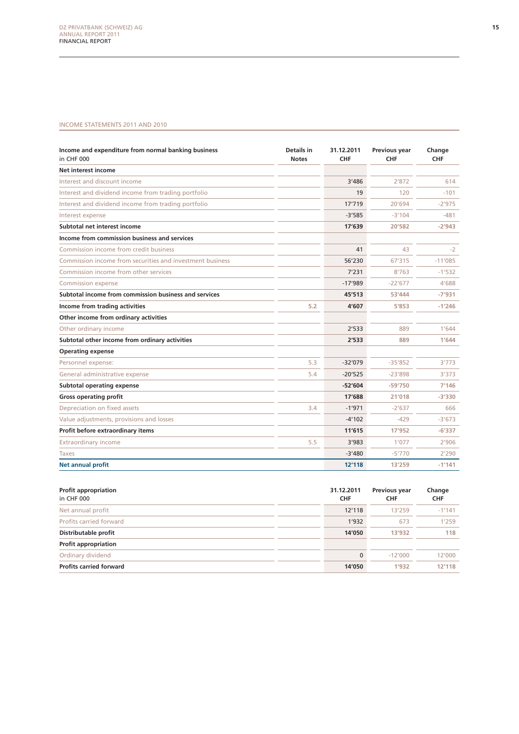#### Income statements 2011 and 2010

| Income and expenditure from normal banking business<br>in CHF 000 | Details in<br><b>Notes</b> | 31.12.2011<br><b>CHF</b> | <b>Previous year</b><br><b>CHF</b> | Change<br>CHF |
|-------------------------------------------------------------------|----------------------------|--------------------------|------------------------------------|---------------|
| Net interest income                                               |                            |                          |                                    |               |
| Interest and discount income                                      |                            | 3'486                    | 2'872                              | 614           |
| Interest and dividend income from trading portfolio               |                            | 19                       | 120                                | $-101$        |
| Interest and dividend income from trading portfolio               |                            | 17'719                   | 20'694                             | $-2'975$      |
| Interest expense                                                  |                            | $-3'585$                 | $-3'104$                           | $-481$        |
| Subtotal net interest income                                      |                            | 17'639                   | 20'582                             | $-2'943$      |
| Income from commission business and services                      |                            |                          |                                    |               |
| Commission income from credit business                            |                            | 41                       | 43                                 | $-2$          |
| Commission income from securities and investment business         |                            | 56'230                   | 67'315                             | $-11'085$     |
| Commission income from other services                             |                            | 7'231                    | 8'763                              | $-1'532$      |
| <b>Commission expense</b>                                         |                            | $-17'989$                | $-22'677$                          | 4'688         |
| Subtotal income from commission business and services             |                            | 45'513                   | 53'444                             | $-7'931$      |
| Income from trading activities                                    | 5.2                        | 4'607                    | 5'853                              | $-1'246$      |
| Other income from ordinary activities                             |                            |                          |                                    |               |
| Other ordinary income                                             |                            | 2'533                    | 889                                | 1'644         |
| Subtotal other income from ordinary activities                    |                            | 2'533                    | 889                                | 1'644         |
| <b>Operating expense</b>                                          |                            |                          |                                    |               |
| Personnel expense:                                                | 5.3                        | $-32'079$                | $-35'852$                          | 3'773         |
| General administrative expense                                    | 5.4                        | $-20'525$                | $-23'898$                          | 3'373         |
| <b>Subtotal operating expense</b>                                 |                            | $-52'604$                | $-59'750$                          | 7'146         |
| <b>Gross operating profit</b>                                     |                            | 17'688                   | 21'018                             | $-3'330$      |
| Depreciation on fixed assets                                      | 3.4                        | $-1'971$                 | $-2'637$                           | 666           |
| Value adjustments, provisions and losses                          |                            | $-4'102$                 | $-429$                             | $-3'673$      |
| Profit before extraordinary items                                 |                            | 11'615                   | 17'952                             | $-6'337$      |
| Extraordinary income                                              | 5.5                        | 3'983                    | 1'077                              | 2'906         |
| <b>Taxes</b>                                                      |                            | $-3'480$                 | $-5'770$                           | 2'290         |
| <b>Net annual profit</b>                                          |                            | 12'118                   | 13'259                             | $-1'141$      |

| <b>Profit appropriation</b><br>in CHF 000 | 31.12.2011<br><b>CHF</b> | <b>Previous year</b><br><b>CHF</b> | Change<br><b>CHF</b> |
|-------------------------------------------|--------------------------|------------------------------------|----------------------|
| Net annual profit                         | 12'118                   | 13'259                             | $-1'141$             |
| Profits carried forward                   | 1'932                    | 673                                | 1'259                |
| Distributable profit                      | 14'050                   | 13'932                             | 118                  |
| <b>Profit appropriation</b>               |                          |                                    |                      |
| Ordinary dividend                         | $\mathbf 0$              | $-12'000$                          | 12'000               |
| <b>Profits carried forward</b>            | 14'050                   | 1'932                              | 12'118               |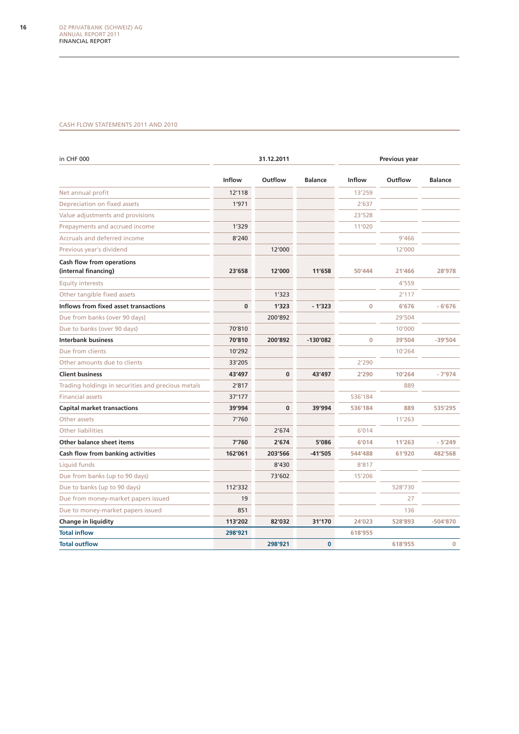#### Cash flow statements 2011 and 2010

| in CHF 000                                               |          | 31.12.2011 |                | Previous year |         |                |
|----------------------------------------------------------|----------|------------|----------------|---------------|---------|----------------|
|                                                          | Inflow   | Outflow    | <b>Balance</b> | Inflow        | Outflow | <b>Balance</b> |
| Net annual profit                                        | 12'118   |            |                | 13'259        |         |                |
| Depreciation on fixed assets                             | 1'971    |            |                | 2'637         |         |                |
| Value adjustments and provisions                         |          |            |                | 23'528        |         |                |
| Prepayments and accrued income                           | 1'329    |            |                | 11'020        |         |                |
| <b>Accruals and deferred income</b>                      | 8'240    |            |                |               | 9'466   |                |
| Previous year's dividend                                 |          | 12'000     |                |               | 12'000  |                |
| <b>Cash flow from operations</b><br>(internal financing) | 23'658   | 12'000     | 11'658         | 50'444        | 21'466  | 28'978         |
| <b>Equity interests</b>                                  |          |            |                |               | 4'559   |                |
| Other tangible fixed assets                              |          | 1'323      |                |               | 2'117   |                |
| <b>Inflows from fixed asset transactions</b>             | $\bf{0}$ | 1'323      | $-1'323$       | $\bf{0}$      | 6'676   | $-6'676$       |
| Due from banks (over 90 days)                            |          | 200'892    |                |               | 29'504  |                |
| Due to banks (over 90 days)                              | 70'810   |            |                |               | 10'000  |                |
| <b>Interbank business</b>                                | 70'810   | 200'892    | $-130'082$     | 0             | 39'504  | $-39'504$      |
| Due from clients                                         | 10'292   |            |                |               | 10'264  |                |
| Other amounts due to clients                             | 33'205   |            |                | 2'290         |         |                |
| <b>Client business</b>                                   | 43'497   | $\bf{0}$   | 43'497         | 2'290         | 10'264  | $-7'974$       |
| Trading holdings in securities and precious metals       | 2'817    |            |                |               | 889     |                |
| <b>Financial assets</b>                                  | 37'177   |            |                | 536'184       |         |                |
| <b>Capital market transactions</b>                       | 39'994   | 0          | 39'994         | 536'184       | 889     | 535'295        |
| Other assets                                             | 7'760    |            |                |               | 11'263  |                |
| <b>Other liabilities</b>                                 |          | 2'674      |                | 6'014         |         |                |
| <b>Other balance sheet items</b>                         | 7'760    | 2'674      | 5'086          | 6'014         | 11'263  | $-5'249$       |
| <b>Cash flow from banking activities</b>                 | 162'061  | 203'566    | -41'505        | 544'488       | 61'920  | 482'568        |
| Liquid funds                                             |          | 8'430      |                | 8'817         |         |                |
| Due from banks (up to 90 days)                           |          | 73'602     |                | 15'206        |         |                |
| Due to banks (up to 90 days)                             | 112'332  |            |                |               | 528'730 |                |
| Due from money-market papers issued                      | 19       |            |                |               | 27      |                |
| Due to money-market papers issued                        | 851      |            |                |               | 136     |                |
| <b>Change in liquidity</b>                               | 113'202  | 82'032     | 31'170         | 24'023        | 528'893 | $-504'870$     |
| <b>Total inflow</b>                                      | 298'921  |            |                | 618'955       |         |                |
| <b>Total outflow</b>                                     |          | 298'921    | $\mathbf{0}$   |               | 618'955 | $\mathbf{0}$   |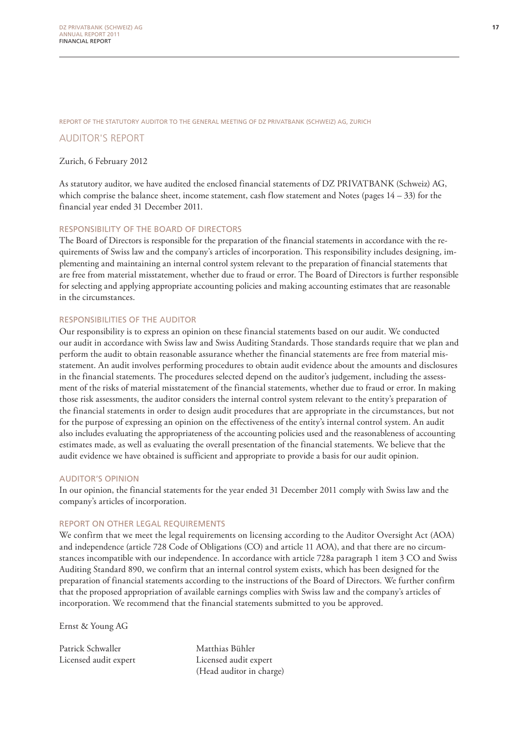Report of the statutory auditor to the general meeting of DZ Privatbank (Schweiz) AG, Zurich

#### Auditor's report

#### Zurich, 6 February 2012

As statutory auditor, we have audited the enclosed financial statements of DZ PRIVATBANK (Schweiz) AG, which comprise the balance sheet, income statement, cash flow statement and Notes (pages  $14 - 33$ ) for the financial year ended 31 December 2011.

#### Responsibility of the Board of Directors

The Board of Directors is responsible for the preparation of the financial statements in accordance with the requirements of Swiss law and the company's articles of incorporation. This responsibility includes designing, implementing and maintaining an internal control system relevant to the preparation of financial statements that are free from material misstatement, whether due to fraud or error. The Board of Directors is further responsible for selecting and applying appropriate accounting policies and making accounting estimates that are reasonable in the circumstances.

#### Responsibilities of the Auditor

Our responsibility is to express an opinion on these financial statements based on our audit. We conducted our audit in accordance with Swiss law and Swiss Auditing Standards. Those standards require that we plan and perform the audit to obtain reasonable assurance whether the financial statements are free from material misstatement. An audit involves performing procedures to obtain audit evidence about the amounts and disclosures in the financial statements. The procedures selected depend on the auditor's judgement, including the assessment of the risks of material misstatement of the financial statements, whether due to fraud or error. In making those risk assessments, the auditor considers the internal control system relevant to the entity's preparation of the financial statements in order to design audit procedures that are appropriate in the circumstances, but not for the purpose of expressing an opinion on the effectiveness of the entity's internal control system. An audit also includes evaluating the appropriateness of the accounting policies used and the reasonableness of accounting estimates made, as well as evaluating the overall presentation of the financial statements. We believe that the audit evidence we have obtained is sufficient and appropriate to provide a basis for our audit opinion.

#### Auditor's opinion

In our opinion, the financial statements for the year ended 31 December 2011 comply with Swiss law and the company's articles of incorporation.

#### Report on other legal requirements

We confirm that we meet the legal requirements on licensing according to the Auditor Oversight Act (AOA) and independence (article 728 Code of Obligations (CO) and article 11 AOA), and that there are no circumstances incompatible with our independence. In accordance with article 728a paragraph 1 item 3 CO and Swiss Auditing Standard 890, we confirm that an internal control system exists, which has been designed for the preparation of financial statements according to the instructions of the Board of Directors. We further confirm that the proposed appropriation of available earnings complies with Swiss law and the company's articles of incorporation. We recommend that the financial statements submitted to you be approved.

Ernst & Young AG

Patrick Schwaller Matthias Bühler Licensed audit expert Licensed audit expert

(Head auditor in charge)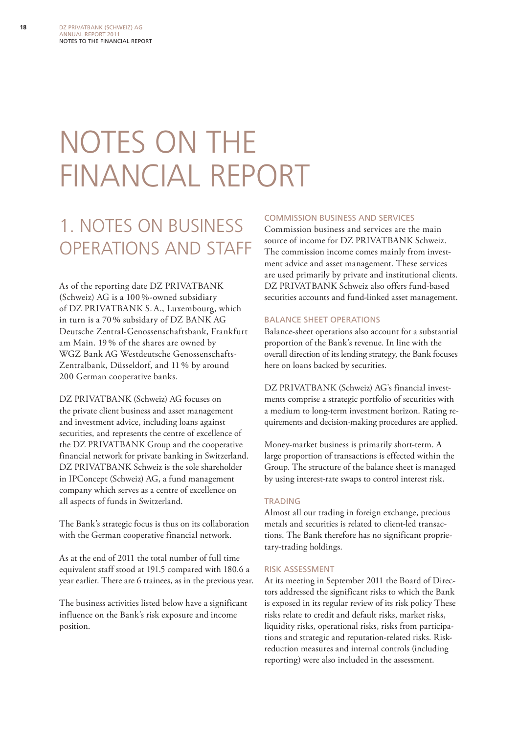# NOTES ON THE financial report

# 1. Notes on business operations and staff

As of the reporting date DZ PRIVATBANK (Schweiz) AG is a 100 %-owned subsidiary of DZ PRIVATBANK S.A., Luxembourg, which in turn is a 70 % subsidary of DZ BANK AG Deutsche Zentral-Genossenschaftsbank, Frankfurt am Main. 19 % of the shares are owned by WGZ Bank AG Westdeutsche Genossenschafts-Zentralbank, Düsseldorf, and 11 % by around 200 German cooperative banks.

DZ PRIVATBANK (Schweiz) AG focuses on the private client business and asset management and investment advice, including loans against securities, and represents the centre of excellence of the DZ PRIVATBANK Group and the cooperative financial network for private banking in Switzerland. DZ PRIVATBANK Schweiz is the sole shareholder in IPConcept (Schweiz) AG, a fund management company which serves as a centre of excellence on all aspects of funds in Switzerland.

The Bank's strategic focus is thus on its collaboration with the German cooperative financial network.

As at the end of 2011 the total number of full time equivalent staff stood at 191.5 compared with 180.6 a year earlier. There are 6 trainees, as in the previous year.

The business activities listed below have a significant influence on the Bank's risk exposure and income position.

#### Commission business and services

Commission business and services are the main source of income for DZ PRIVATBANK Schweiz. The commission income comes mainly from investment advice and asset management. These services are used primarily by private and institutional clients. DZ PRIVATBANK Schweiz also offers fund-based securities accounts and fund-linked asset management.

#### Balance sheet operations

Balance-sheet operations also account for a substantial proportion of the Bank's revenue. In line with the overall direction of its lending strategy, the Bank focuses here on loans backed by securities.

DZ PRIVATBANK (Schweiz) AG's financial investments comprise a strategic portfolio of securities with a medium to long-term investment horizon. Rating requirements and decision-making procedures are applied.

Money-market business is primarily short-term. A large proportion of transactions is effected within the Group. The structure of the balance sheet is managed by using interest-rate swaps to control interest risk.

#### **TRADING**

Almost all our trading in foreign exchange, precious metals and securities is related to client-led transactions. The Bank therefore has no significant proprietary-trading holdings.

#### Risk assessment

At its meeting in September 2011 the Board of Directors addressed the significant risks to which the Bank is exposed in its regular review of its risk policy These risks relate to credit and default risks, market risks, liquidity risks, operational risks, risks from participations and strategic and reputation-related risks. Riskreduction measures and internal controls (including reporting) were also included in the assessment.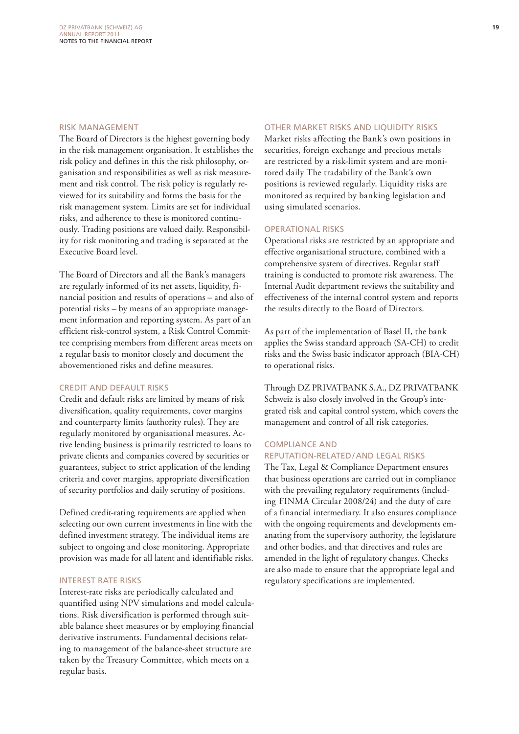#### Risk management

The Board of Directors is the highest governing body in the risk management organisation. It establishes the risk policy and defines in this the risk philosophy, organisation and responsibilities as well as risk measurement and risk control. The risk policy is regularly reviewed for its suitability and forms the basis for the risk management system. Limits are set for individual risks, and adherence to these is monitored continuously. Trading positions are valued daily. Responsibility for risk monitoring and trading is separated at the Executive Board level.

The Board of Directors and all the Bank's managers are regularly informed of its net assets, liquidity, financial position and results of operations – and also of potential risks – by means of an appropriate management information and reporting system. As part of an efficient risk-control system, a Risk Control Committee comprising members from different areas meets on a regular basis to monitor closely and document the abovementioned risks and define measures.

#### Credit and default risks

Credit and default risks are limited by means of risk diversification, quality requirements, cover margins and counterparty limits (authority rules). They are regularly monitored by organisational measures. Active lending business is primarily restricted to loans to private clients and companies covered by securities or guarantees, subject to strict application of the lending criteria and cover margins, appropriate diversification of security portfolios and daily scrutiny of positions.

Defined credit-rating requirements are applied when selecting our own current investments in line with the defined investment strategy. The individual items are subject to ongoing and close monitoring. Appropriate provision was made for all latent and identifiable risks.

#### Interest rate risks

Interest-rate risks are periodically calculated and quantified using NPV simulations and model calculations. Risk diversification is performed through suitable balance sheet measures or by employing financial derivative instruments. Fundamental decisions relating to management of the balance-sheet structure are taken by the Treasury Committee, which meets on a regular basis.

#### Other market risks and liquidity risks

Market risks affecting the Bank's own positions in securities, foreign exchange and precious metals are restricted by a risk-limit system and are monitored daily The tradability of the Bank's own positions is reviewed regularly. Liquidity risks are monitored as required by banking legislation and using simulated scenarios.

#### Operational risks

Operational risks are restricted by an appropriate and effective organisational structure, combined with a comprehensive system of directives. Regular staff training is conducted to promote risk awareness. The Internal Audit department reviews the suitability and effectiveness of the internal control system and reports the results directly to the Board of Directors.

As part of the implementation of Basel II, the bank applies the Swiss standard approach (SA-CH) to credit risks and the Swiss basic indicator approach (BIA-CH) to operational risks.

Through DZ PRIVATBANK S.A., DZ PRIVATBANK Schweiz is also closely involved in the Group's integrated risk and capital control system, which covers the management and control of all risk categories.

#### Compliance and reputation-related / and legal risks

The Tax, Legal & Compliance Department ensures that business operations are carried out in compliance with the prevailing regulatory requirements (including FINMA Circular 2008/24) and the duty of care of a financial intermediary. It also ensures compliance with the ongoing requirements and developments emanating from the supervisory authority, the legislature and other bodies, and that directives and rules are amended in the light of regulatory changes. Checks are also made to ensure that the appropriate legal and regulatory specifications are implemented.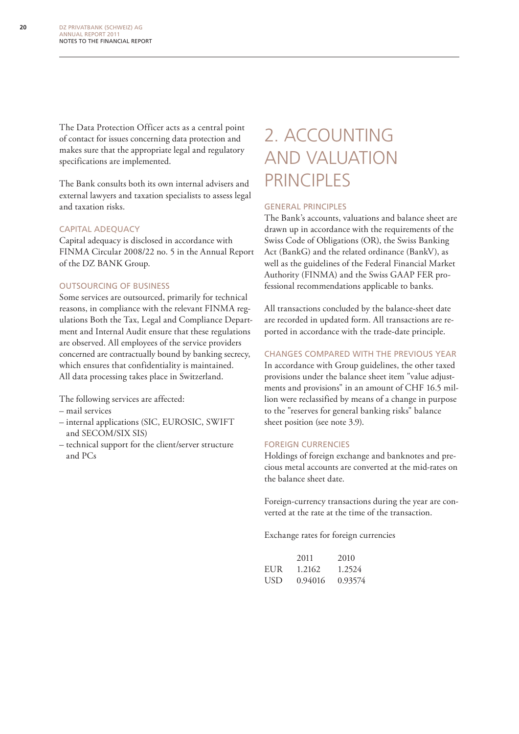The Data Protection Officer acts as a central point of contact for issues concerning data protection and makes sure that the appropriate legal and regulatory specifications are implemented.

The Bank consults both its own internal advisers and external lawyers and taxation specialists to assess legal and taxation risks.

#### Capital adequacy

Capital adequacy is disclosed in accordance with FINMA Circular 2008/22 no. 5 in the Annual Report of the DZ BANK Group.

#### Outsourcing of business

Some services are outsourced, primarily for technical reasons, in compliance with the relevant FINMA regulations Both the Tax, Legal and Compliance Department and Internal Audit ensure that these regulations are observed. All employees of the service providers concerned are contractually bound by banking secrecy, which ensures that confidentiality is maintained. All data processing takes place in Switzerland.

The following services are affected:

- mail services
- internal applications (SIC, EUROSIC, SWIFT and SECOM/SIX SIS)
- technical support for the client/server structure and PCs

# 2. Accounting and valuation **PRINCIPLES**

#### General principles

The Bank's accounts, valuations and balance sheet are drawn up in accordance with the requirements of the Swiss Code of Obligations (OR), the Swiss Banking Act (BankG) and the related ordinance (BankV), as well as the guidelines of the Federal Financial Market Authority (FINMA) and the Swiss GAAP FER professional recommendations applicable to banks.

All transactions concluded by the balance-sheet date are recorded in updated form. All transactions are reported in accordance with the trade-date principle.

#### Changes compared with the previous year

In accordance with Group guidelines, the other taxed provisions under the balance sheet item "value adjustments and provisions" in an amount of CHF 16.5 million were reclassified by means of a change in purpose to the "reserves for general banking risks" balance sheet position (see note 3.9).

#### Foreign currencies

Holdings of foreign exchange and banknotes and precious metal accounts are converted at the mid-rates on the balance sheet date.

Foreign-currency transactions during the year are converted at the rate at the time of the transaction.

Exchange rates for foreign currencies

|     | 2011    | 2010    |
|-----|---------|---------|
| EUR | 1.2162  | 1.2524  |
| USD | 0.94016 | 0.93574 |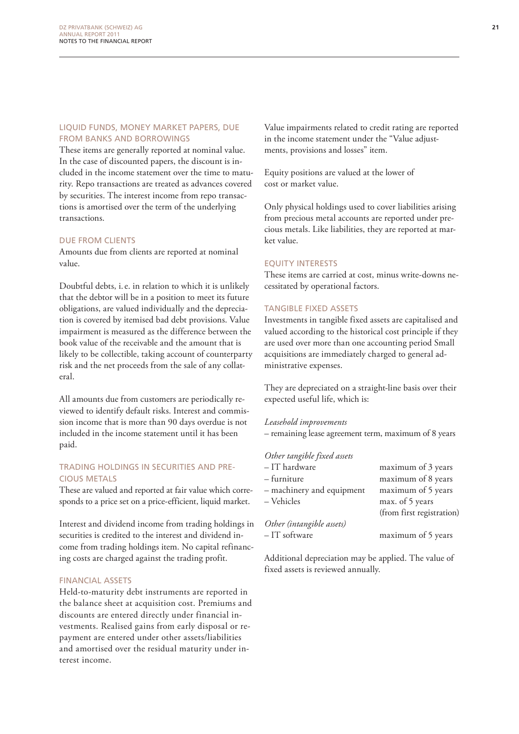#### Liquid funds, money market papers, due from banks and borrowings

These items are generally reported at nominal value. In the case of discounted papers, the discount is included in the income statement over the time to maturity. Repo transactions are treated as advances covered by securities. The interest income from repo transactions is amortised over the term of the underlying transactions.

#### Due from clients

Amounts due from clients are reported at nominal value.

Doubtful debts, i.e. in relation to which it is unlikely that the debtor will be in a position to meet its future obligations, are valued individually and the depreciation is covered by itemised bad debt provisions. Value impairment is measured as the difference between the book value of the receivable and the amount that is likely to be collectible, taking account of counterparty risk and the net proceeds from the sale of any collateral.

All amounts due from customers are periodically reviewed to identify default risks. Interest and commission income that is more than 90 days overdue is not included in the income statement until it has been paid.

#### Trading holdings in securities and precious metals

These are valued and reported at fair value which corresponds to a price set on a price-efficient, liquid market.

Interest and dividend income from trading holdings in securities is credited to the interest and dividend income from trading holdings item. No capital refinancing costs are charged against the trading profit.

#### Financial assets

Held-to-maturity debt instruments are reported in the balance sheet at acquisition cost. Premiums and discounts are entered directly under financial investments. Realised gains from early disposal or repayment are entered under other assets/liabilities and amortised over the residual maturity under interest income.

Value impairments related to credit rating are reported in the income statement under the "Value adjustments, provisions and losses" item.

Equity positions are valued at the lower of cost or market value.

Only physical holdings used to cover liabilities arising from precious metal accounts are reported under precious metals. Like liabilities, they are reported at market value.

#### Equity interests

These items are carried at cost, minus write-downs necessitated by operational factors.

#### Tangible fixed assets

Investments in tangible fixed assets are capitalised and valued according to the historical cost principle if they are used over more than one accounting period Small acquisitions are immediately charged to general administrative expenses.

They are depreciated on a straight-line basis over their expected useful life, which is:

#### *Leasehold improvements*

– remaining lease agreement term, maximum of 8 years

#### *Other tangible fixed assets*

| – IT hardware             | maximum of 3 years        |
|---------------------------|---------------------------|
| – furniture               | maximum of 8 years        |
| - machinery and equipment | maximum of 5 years        |
| - Vehicles                | max. of 5 years           |
|                           | (from first registration) |
| Other (intangible assets) |                           |
| - IT software             | maximum of 5 years        |
|                           |                           |

Additional depreciation may be applied. The value of fixed assets is reviewed annually.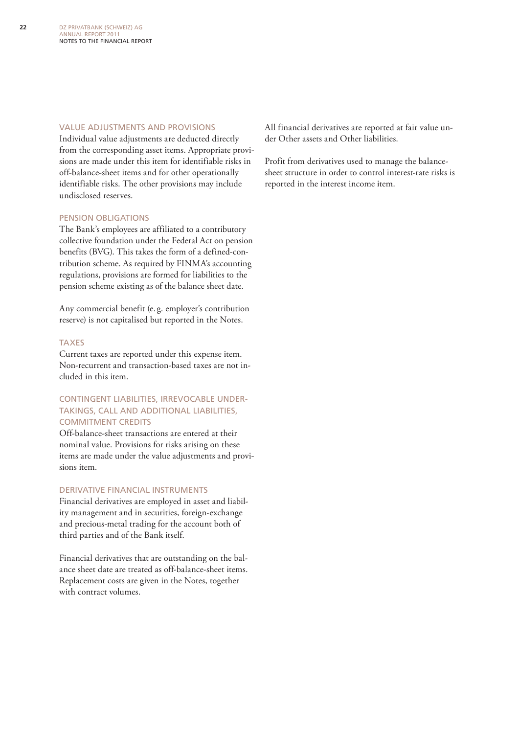#### Value adjustments and provisions

Individual value adjustments are deducted directly from the corresponding asset items. Appropriate provisions are made under this item for identifiable risks in off-balance-sheet items and for other operationally identifiable risks. The other provisions may include undisclosed reserves.

#### Pension obligations

The Bank's employees are affiliated to a contributory collective foundation under the Federal Act on pension benefits (BVG). This takes the form of a defined-contribution scheme. As required by FINMA's accounting regulations, provisions are formed for liabilities to the pension scheme existing as of the balance sheet date.

Any commercial benefit (e. g. employer's contribution reserve) is not capitalised but reported in the Notes.

#### **TAXES**

Current taxes are reported under this expense item. Non-recurrent and transaction-based taxes are not included in this item.

#### CONTINGENT LIABILITIES, IRREVOCABLE UNDERtakings, call and additional liabilities, commitment credits

Off-balance-sheet transactions are entered at their nominal value. Provisions for risks arising on these items are made under the value adjustments and provisions item.

#### Derivative financial instruments

Financial derivatives are employed in asset and liability management and in securities, foreign-exchange and precious-metal trading for the account both of third parties and of the Bank itself.

Financial derivatives that are outstanding on the balance sheet date are treated as off-balance-sheet items. Replacement costs are given in the Notes, together with contract volumes.

All financial derivatives are reported at fair value under Other assets and Other liabilities.

Profit from derivatives used to manage the balancesheet structure in order to control interest-rate risks is reported in the interest income item.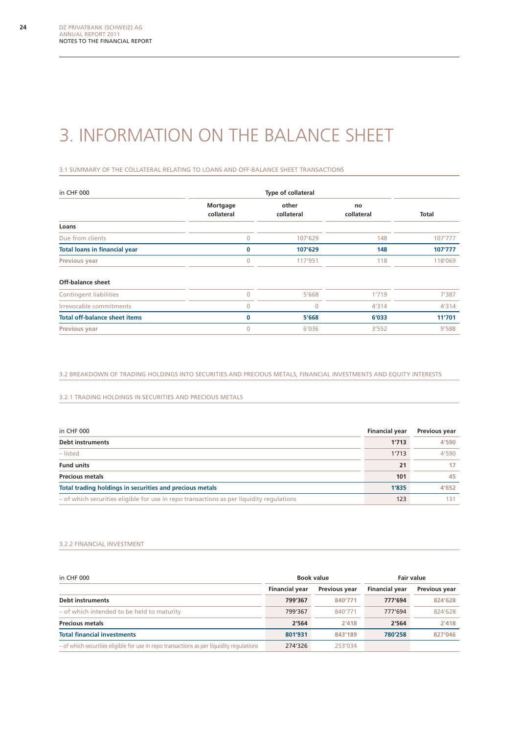# 3. Information on the balance sheet

3.1 Summary of the collateral relating to loans and off-balance sheet transactions

| in CHF 000                           |                                               |         |                  |         |
|--------------------------------------|-----------------------------------------------|---------|------------------|---------|
|                                      | other<br>Mortgage<br>collateral<br>collateral |         | no<br>collateral | Total   |
| Loans                                |                                               |         |                  |         |
| Due from clients                     | $\overline{0}$                                | 107'629 | 148              | 107'777 |
| <b>Total loans in financial year</b> | $\Omega$                                      | 107'629 | 148              | 107'777 |
| <b>Previous year</b>                 | $\Omega$                                      | 117'951 | 118              | 118'069 |
| <b>Off-balance sheet</b>             |                                               |         |                  |         |
| <b>Contingent liabilities</b>        | $\mathbf{0}$                                  | 5'668   | 1'719            | 7'387   |
| Irrevocable commitments              | $\overline{0}$                                | 0       | 4'314            | 4'314   |
| <b>Total off-balance sheet items</b> | $\bf{0}$                                      | 5'668   | 6'033            | 11'701  |
| <b>Previous year</b>                 | $\overline{0}$                                | 6'036   | 3'552            | 9'588   |

3.2 Breakdown of trading holdings into securities and precious metals, financial investments and equity interests

3.2.1 Trading holdings in securities and precious metals

| in CHF 000                                                                               | <b>Financial year</b> | <b>Previous year</b> |
|------------------------------------------------------------------------------------------|-----------------------|----------------------|
| Debt instruments                                                                         | 1'713                 | 4'590                |
| – listed                                                                                 | 1'713                 | 4'590                |
| <b>Fund units</b>                                                                        | 21                    | 17                   |
| <b>Precious metals</b>                                                                   | 101                   | 45                   |
| Total trading holdings in securities and precious metals                                 | 1'835                 | 4'652                |
| - of which securities eligible for use in repo transactions as per liquidity regulations | 123                   | 131                  |

#### 3.2.2 Financial investment

| in CHF 000                                                                               | Book value            |               | Fair value            |                      |
|------------------------------------------------------------------------------------------|-----------------------|---------------|-----------------------|----------------------|
|                                                                                          | <b>Financial year</b> | Previous year | <b>Financial year</b> | <b>Previous year</b> |
| <b>Debt instruments</b>                                                                  | 799'367               | 840'771       | 777'694               | 824'628              |
| - of which intended to be held to maturity                                               | 799'367               | 840'771       | 777'694               | 824'628              |
| <b>Precious metals</b>                                                                   | 2'564                 | 2'418         | 2'564                 | 2'418                |
| <b>Total financial investments</b>                                                       | 801'931               | 843'189       | 780'258               | 827'046              |
| - of which securities eligible for use in repo transactions as per liquidity regulations | 274'326               | 253'034       |                       |                      |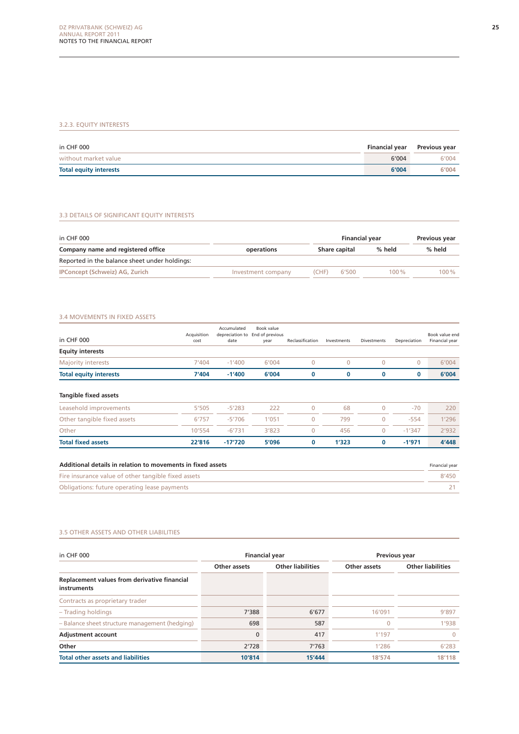#### 3.2.3. Equity interests

| in CHF 000                    | <b>Financial year</b> | Previous year |
|-------------------------------|-----------------------|---------------|
| without market value          | 6'004                 | 6'004         |
| <b>Total equity interests</b> | 6'004                 | 6'004         |

#### 3.3 Details of significant equity interests

| in CHF 000                                    |                    | <b>Financial year</b> | Previous year |         |  |
|-----------------------------------------------|--------------------|-----------------------|---------------|---------|--|
| Company name and registered office            | operations         | <b>Share capital</b>  | % held        | % held  |  |
| Reported in the balance sheet under holdings: |                    |                       |               |         |  |
| IPConcept (Schweiz) AG, Zurich                | Investment company | 6'500<br>(CHF)        | $100\%$       | $100\%$ |  |

#### 3.4 Movements in fixed assets

| in CHF 000                    | Acquisition<br>cost | Accumulated<br>depreciation to<br>date | Book value<br>End of previous<br>year | Reclassification | Investments | <b>Divestments</b> | Depreciation | Book value end<br>Financial year |
|-------------------------------|---------------------|----------------------------------------|---------------------------------------|------------------|-------------|--------------------|--------------|----------------------------------|
| <b>Equity interests</b>       |                     |                                        |                                       |                  |             |                    |              |                                  |
| <b>Majority interests</b>     | 7'404               | $-1'400$                               | 6'004                                 | $\mathbf 0$      | 0           | 0                  | 0            | 6'004                            |
| <b>Total equity interests</b> | 7'404               | $-1'400$                               | 6'004                                 | 0                | 0           | 0                  | 0            | 6'004                            |
| <b>Tangible fixed assets</b>  |                     |                                        |                                       |                  |             |                    |              |                                  |
| Leasehold improvements        | 5'505               | $-5'283$                               | 222                                   | $\mathbf 0$      | 68          | $\mathbf 0$        | $-70$        | 220                              |
| Other tangible fixed assets   | 6'757               | $-5'706$                               | 1'051                                 | $\mathbf 0$      | 799         | 0                  | $-554$       | 1'296                            |
| Other                         | 10'554              | $-6'731$                               | 3'823                                 | $\mathbf 0$      | 456         | $\mathbf{0}$       | $-1'347$     | 2'932                            |
| <b>Total fixed assets</b>     | 22'816              | $-17'720$                              | 5'096                                 | 0                | 1'323       | 0                  | $-1'971$     | 4'448                            |

| Additional details in relation to movements in fixed assets |       |
|-------------------------------------------------------------|-------|
| Fire insurance value of other tangible fixed assets         | 8'450 |
| Obligations: future operating lease payments                |       |

#### 3.5 Other assets and other liabilities

| in CHF 000                                                  | <b>Financial year</b> |                          | Previous year |                          |  |
|-------------------------------------------------------------|-----------------------|--------------------------|---------------|--------------------------|--|
|                                                             | Other assets          | <b>Other liabilities</b> |               | <b>Other liabilities</b> |  |
| Replacement values from derivative financial<br>instruments |                       |                          |               |                          |  |
| Contracts as proprietary trader                             |                       |                          |               |                          |  |
| - Trading holdings                                          | 7'388                 | 6'677                    | 16'091        | 9'897                    |  |
| - Balance sheet structure management (hedging)              | 698                   | 587                      | $\Omega$      | 1'938                    |  |
| <b>Adjustment account</b>                                   | $\mathbf{0}$          | 417                      | 1'197         | $\Omega$                 |  |
| Other                                                       | 2'728                 | 7'763                    | 1'286         | 6'283                    |  |
| <b>Total other assets and liabilities</b>                   | 10'814                | 15'444                   | 18'574        | 18'118                   |  |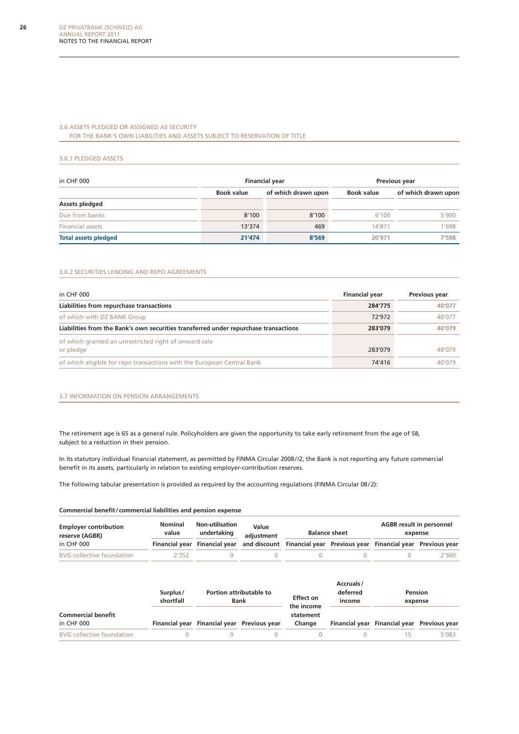#### 3.6 Assets pledged or assigned as security for the Bank's own liabilities and assets subject to reservation of title

#### 3.6.1 Pledged assets

| in CHF 000                  |                   | <b>Financial year</b> | Previous year |                     |  |
|-----------------------------|-------------------|-----------------------|---------------|---------------------|--|
|                             | <b>Book value</b> | of which drawn upon   | Book value    | of which drawn upon |  |
| Assets pledged              |                   |                       |               |                     |  |
| Due from banks              | 8'100             | 8'100                 | 6'100         | 5'900               |  |
| <b>Financial assets</b>     | 13'374            | 469                   | 14'871        | 1'698               |  |
| <b>Total assets pledged</b> | 21'474            | 8'569                 | 20'971        | 7'598               |  |

#### 3.6.2 Securities lending and repo agreements

| in CHF 000                                                                           | <b>Financial year</b> | Previous year |
|--------------------------------------------------------------------------------------|-----------------------|---------------|
| Liabilities from repurchase transactions                                             | 284'775               | 40'077        |
| of which with DZ BANK Group                                                          | 72'972                | 40'077        |
| Liabilities from the Bank's own securities transferred under repurchase transactions | 283'079               | 40'079        |
| of which granted an unrestricted right of onward sale                                |                       |               |
| or pledge                                                                            | 283'079               | 40'079        |
| of which eligible for repo transactions with the European Central Bank               | 74'416                | 40'079        |

#### 3.7 Information on pension arrangements

The retirement age is 65 as a general rule. Policyholders are given the opportunity to take early retirement from the age of 58, subject to a reduction in their pension.

In its statutory individual financial statement, as permitted by FINMA Circular 2008//2, the Bank is not reporting any future commercial benefit in its assets, particularly in relation to existing employer-contribution reserves.

The following tabular presentation is provided as required by the accounting regulations (FINMA Circular 08/2):

#### **Commercial benefit/ commercial liabilities and pension expense**

| <b>Employer contribution</b><br>reserve (AGBR) | Nominal<br>value | <b>Non-utilisation</b><br>undertaking                                                                | Value<br><b>Balance sheet</b><br>adiustment |  |  | <b>AGBR</b> result in personnel<br>expense |       |  |
|------------------------------------------------|------------------|------------------------------------------------------------------------------------------------------|---------------------------------------------|--|--|--------------------------------------------|-------|--|
| in CHF 000                                     |                  | Financial year Financial year and discount Financial year Previous year Financial year Previous year |                                             |  |  |                                            |       |  |
| <b>BVG</b> collective foundation               | 2'352.           |                                                                                                      |                                             |  |  |                                            | 2'500 |  |

| <b>Commercial benefit</b><br>in CHF 000 | Surplus/<br>shortfall | <b>Portion attributable to</b><br><b>Bank</b> |  | <b>Effect on</b><br>the income | Accruals/<br>deferred<br>income | Pension<br>expense                          |       |
|-----------------------------------------|-----------------------|-----------------------------------------------|--|--------------------------------|---------------------------------|---------------------------------------------|-------|
|                                         |                       | Financial year Financial year Previous year   |  | statement<br>Change            |                                 | Financial year Financial year Previous year |       |
| <b>BVG</b> collective foundation        |                       |                                               |  |                                |                                 |                                             | 5'083 |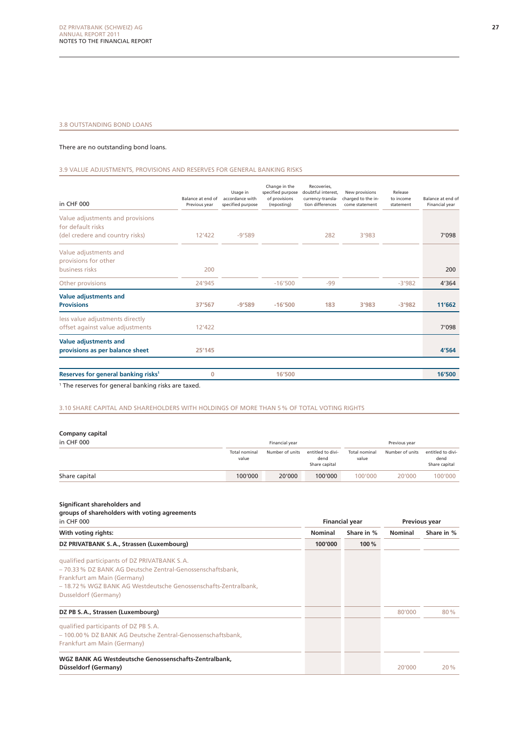#### 3.8 Outstanding bond loans

#### There are no outstanding bond loans.

3.9 Value adjustments, provisions and reserves for general banking risks

| in CHF 000                                                                               | Balance at end of<br>Previous year | Usage in<br>accordance with<br>specified purpose | Change in the<br>specified purpose<br>of provisions<br>(reposting) | Recoveries,<br>doubtful interest.<br>currency-transla-<br>tion differences | New provisions<br>charged to the in-<br>come statement | Release<br>to income<br>statement | Balance at end of<br>Financial year |
|------------------------------------------------------------------------------------------|------------------------------------|--------------------------------------------------|--------------------------------------------------------------------|----------------------------------------------------------------------------|--------------------------------------------------------|-----------------------------------|-------------------------------------|
| Value adjustments and provisions<br>for default risks<br>(del credere and country risks) | 12'422                             | $-9'589$                                         |                                                                    | 282                                                                        | 3'983                                                  |                                   | 7'098                               |
| Value adjustments and<br>provisions for other<br>business risks                          | 200                                |                                                  |                                                                    |                                                                            |                                                        |                                   | 200                                 |
| Other provisions                                                                         | 24'945                             |                                                  | $-16'500$                                                          | $-99$                                                                      |                                                        | $-3'982$                          | 4'364                               |
| Value adjustments and<br><b>Provisions</b>                                               | 37'567                             | $-9'589$                                         | $-16'500$                                                          | 183                                                                        | 3'983                                                  | $-3'982$                          | 11'662                              |
| less value adjustments directly<br>offset against value adjustments                      | 12'422                             |                                                  |                                                                    |                                                                            |                                                        |                                   | 7'098                               |
| <b>Value adjustments and</b><br>provisions as per balance sheet                          | 25'145                             |                                                  |                                                                    |                                                                            |                                                        |                                   | 4'564                               |
| Reserves for general banking risks <sup>1</sup>                                          | $\mathbf 0$                        |                                                  | 16'500                                                             |                                                                            |                                                        |                                   | 16'500                              |

1 The reserves for general banking risks are taxed.

#### 3.10 Share capital and shareholders with holdings of more than 5% of total voting rights

#### **Company capital**

| in CHF 000    | Financial year         |                 |                                            | Previous year          |                 |                                            |
|---------------|------------------------|-----------------|--------------------------------------------|------------------------|-----------------|--------------------------------------------|
|               | Total nominal<br>value | Number of units | entitled to divi-<br>dend<br>Share capital | Total nominal<br>value | Number of units | entitled to divi-<br>dend<br>Share capital |
| Share capital | 100'000                | 20'000          | 100'000                                    | 100'000                | 20'000          | 100'000                                    |

**Significant shareholders and** 

|                        |  | groups of shareholders with voting agreements |
|------------------------|--|-----------------------------------------------|
| $\overline{a}$ CHE 000 |  |                                               |

| in CHF 000                                                      |                | <b>Financial year</b> |                | <b>Previous year</b> |  |
|-----------------------------------------------------------------|----------------|-----------------------|----------------|----------------------|--|
| With voting rights:                                             | <b>Nominal</b> | Share in %            | <b>Nominal</b> | Share in %           |  |
| DZ PRIVATBANK S.A., Strassen (Luxembourg)                       | 100'000        | 100 %                 |                |                      |  |
| qualified participants of DZ PRIVATBANK S.A.                    |                |                       |                |                      |  |
| - 70.33 % DZ BANK AG Deutsche Zentral-Genossenschaftsbank,      |                |                       |                |                      |  |
| Frankfurt am Main (Germany)                                     |                |                       |                |                      |  |
| - 18.72 % WGZ BANK AG Westdeutsche Genossenschafts-Zentralbank. |                |                       |                |                      |  |
| Dusseldorf (Germany)                                            |                |                       |                |                      |  |
| DZ PB S.A., Strassen (Luxembourg)                               |                |                       | 80'000         | 80%                  |  |
| qualified participants of DZ PB S.A.                            |                |                       |                |                      |  |
| - 100.00 % DZ BANK AG Deutsche Zentral-Genossenschaftsbank,     |                |                       |                |                      |  |
| Frankfurt am Main (Germany)                                     |                |                       |                |                      |  |
| WGZ BANK AG Westdeutsche Genossenschafts-Zentralbank,           |                |                       |                |                      |  |
| Düsseldorf (Germany)                                            |                |                       | 20'000         | 20%                  |  |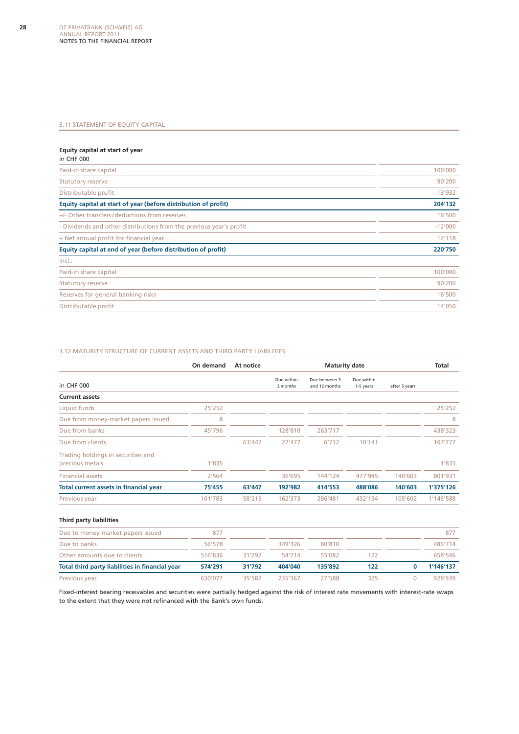#### 3.11 STATEMENT OF EQUITY CAPITAL

#### **Equity capital at start of year**

| in CHF 000                                                          |           |
|---------------------------------------------------------------------|-----------|
| Paid-in share capital                                               | 100'000   |
| <b>Statutory reserve</b>                                            | 90'200    |
| Distributable profit                                                | 13'932    |
| Equity capital at start of year (before distribution of profit)     | 204'132   |
| +/- Other transfers/deductions from reserves                        | 16'500    |
| - Dividends and other distributions from the previous year's profit | $-12'000$ |
| + Net annual profit for financial year                              | 12'118    |
| Equity capital at end of year (before distribution of profit)       | 220'750   |
| incl.:                                                              |           |
| Paid-in share capital                                               | 100'000   |
| <b>Statutory reserve</b>                                            | 90'200    |
| Reserves for general banking risks                                  | 16'500    |
| Distributable profit                                                | 14'050    |
|                                                                     |           |

#### 3.12 Maturity structure of current assets and third party liabilities

|                                                       | On demand | At notice | <b>Maturity date</b>   |                                |                         |               | Total     |
|-------------------------------------------------------|-----------|-----------|------------------------|--------------------------------|-------------------------|---------------|-----------|
| in CHF 000                                            |           |           | Due within<br>3 months | Due between 3<br>and 12 months | Due within<br>1-5 years | after 5 years |           |
| <b>Current assets</b>                                 |           |           |                        |                                |                         |               |           |
| Liquid funds                                          | 25'252    |           |                        |                                |                         |               | 25'252    |
| Due from money-market papers issued                   | 8         |           |                        |                                |                         |               | 8         |
| Due from banks                                        | 45'796    |           | 128'810                | 263'717                        |                         |               | 438'323   |
| Due from clients                                      |           | 63'447    | 27'477                 | 6'712                          | 10'141                  |               | 107'777   |
| Trading holdings in securities and<br>precious metals | 1'835     |           |                        |                                |                         |               | 1'835     |
| <b>Financial assets</b>                               | 2'564     |           | 36'695                 | 144'124                        | 477'945                 | 140'603       | 801'931   |
| Total current assets in financial year                | 75'455    | 63'447    | 192'982                | 414'553                        | 488'086                 | 140'603       | 1'375'126 |
| Previous year                                         | 101'783   | 58'215    | 162'373                | 286'481                        | 432'134                 | 105'602       | 1'146'588 |
| <b>Third party liabilities</b>                        |           |           |                        |                                |                         |               |           |
| Due to money-market papers issued                     | 877       |           |                        |                                |                         |               | 877       |

| <b>PUC to money municipapers issued</b>         | .       |        |         |         |     | .         |
|-------------------------------------------------|---------|--------|---------|---------|-----|-----------|
| Due to banks                                    | 56'578  |        | 349'326 | 80'810  |     | 486'714   |
| Other amounts due to clients                    | 516'836 | 31'792 | 54'714  | 55'082  | 122 | 658'546   |
| Total third party liabilities in financial year | 574'291 | 31'792 | 404'040 | 135'892 | 122 | 1'146'137 |
| Previous year                                   | 630'077 | 35'582 | 235'367 | 27'588  | 325 | 928'939   |

Fixed-interest bearing receivables and securities were partially hedged against the risk of interest rate movements with interest-rate swaps to the extent that they were not refinanced with the Bank's own funds.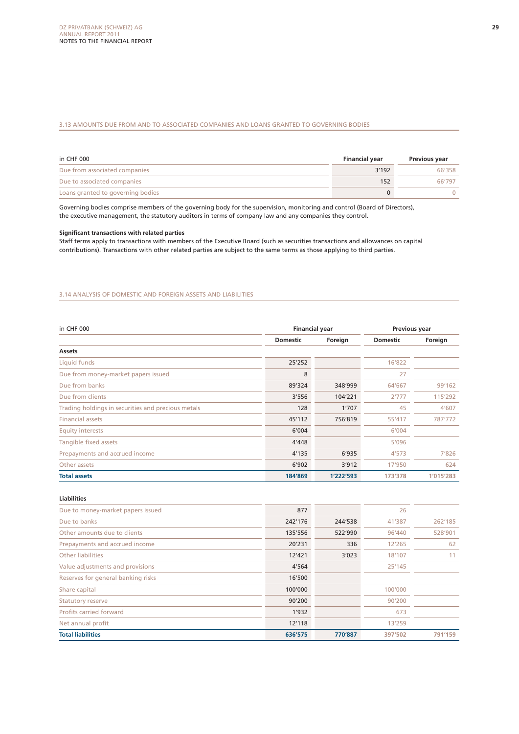#### 3.13 Amounts due from and to associated companies and loans granted to governing bodies

| in CHF 000                        | <b>Financial year</b> | Previous year |
|-----------------------------------|-----------------------|---------------|
| Due from associated companies     | 3'192                 | 66'358        |
| Due to associated companies       | 152                   | 66'797        |
| Loans granted to governing bodies |                       |               |

Governing bodies comprise members of the governing body for the supervision, monitoring and control (Board of Directors), the executive management, the statutory auditors in terms of company law and any companies they control.

#### **Significant transactions with related parties**

Staff terms apply to transactions with members of the Executive Board (such as securities transactions and allowances on capital contributions). Transactions with other related parties are subject to the same terms as those applying to third parties.

#### 3.14 Analysis of domestic and foreign assets and liabilities

| in CHF 000                                         | <b>Financial year</b> |           | Previous year   |           |  |
|----------------------------------------------------|-----------------------|-----------|-----------------|-----------|--|
|                                                    | <b>Domestic</b>       | Foreign   | <b>Domestic</b> | Foreign   |  |
| Assets                                             |                       |           |                 |           |  |
| Liquid funds                                       | 25'252                |           | 16'822          |           |  |
| Due from money-market papers issued                | 8                     |           | 27              |           |  |
| Due from banks                                     | 89'324                | 348'999   | 64'667          | 99'162    |  |
| Due from clients                                   | 3'556                 | 104'221   | 2'777           | 115'292   |  |
| Trading holdings in securities and precious metals | 128                   | 1'707     | 45              | 4'607     |  |
| <b>Financial assets</b>                            | 45'112                | 756'819   | 55'417          | 787'772   |  |
| <b>Equity interests</b>                            | 6'004                 |           | 6'004           |           |  |
| Tangible fixed assets                              | 4'448                 |           | 5'096           |           |  |
| Prepayments and accrued income                     | 4'135                 | 6'935     | 4'573           | 7'826     |  |
| Other assets                                       | 6'902                 | 3'912     | 17'950          | 624       |  |
| <b>Total assets</b>                                | 184'869               | 1'222'593 | 173'378         | 1'015'283 |  |

**Liabilities**

| Due to money-market papers issued  | 877     |         | 26      |         |
|------------------------------------|---------|---------|---------|---------|
| Due to banks                       | 242'176 | 244'538 | 41'387  | 262'185 |
| Other amounts due to clients       | 135'556 | 522'990 | 96'440  | 528'901 |
| Prepayments and accrued income     | 20'231  | 336     | 12'265  | 62      |
| Other liabilities                  | 12'421  | 3'023   | 18'107  | 11      |
| Value adjustments and provisions   | 4'564   |         | 25'145  |         |
| Reserves for general banking risks | 16'500  |         |         |         |
| Share capital                      | 100'000 |         | 100'000 |         |
| <b>Statutory reserve</b>           | 90'200  |         | 90'200  |         |
| Profits carried forward            | 1'932   |         | 673     |         |
| Net annual profit                  | 12'118  |         | 13'259  |         |
| <b>Total liabilities</b>           | 636'575 | 770'887 | 397'502 | 791'159 |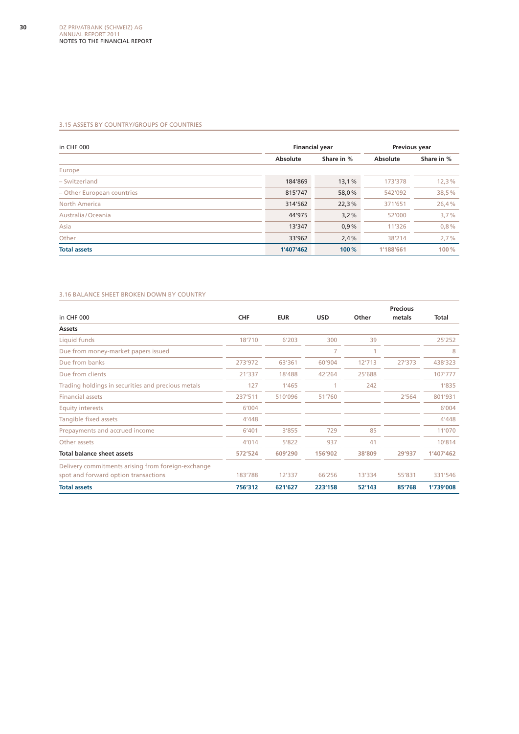#### 3.15 Assets by country/groups of countries

| in CHF 000                 | <b>Financial year</b> |            | Previous year |            |  |
|----------------------------|-----------------------|------------|---------------|------------|--|
|                            | Absolute              | Share in % | Absolute      | Share in % |  |
| Europe                     |                       |            |               |            |  |
| - Switzerland              | 184'869               | 13,1%      | 173'378       | 12,3%      |  |
| - Other European countries | 815'747               | 58,0%      | 542'092       | 38,5%      |  |
| <b>North America</b>       | 314'562               | 22,3%      | 371'651       | 26,4%      |  |
| Australia/Oceania          | 44'975                | 3,2%       | 52'000        | 3,7%       |  |
| Asia                       | 13'347                | 0.9%       | 11'326        | 0,8%       |  |
| Other                      | 33'962                | 2,4%       | 38'214        | 2,7%       |  |
| <b>Total assets</b>        | 1'407'462             | 100 %      | 1'188'661     | 100%       |  |

#### 3.16 Balance sheet broken down by country

|                                                                                            |            |            |            |        | <b>Precious</b> |           |
|--------------------------------------------------------------------------------------------|------------|------------|------------|--------|-----------------|-----------|
| in CHF 000                                                                                 | <b>CHF</b> | <b>EUR</b> | <b>USD</b> | Other  | metals          | Total     |
| Assets                                                                                     |            |            |            |        |                 |           |
| Liquid funds                                                                               | 18'710     | 6'203      | 300        | 39     |                 | 25'252    |
| Due from money-market papers issued                                                        |            |            | 7          |        |                 | 8         |
| Due from banks                                                                             | 273'972    | 63'361     | 60'904     | 12'713 | 27'373          | 438'323   |
| Due from clients                                                                           | 21'337     | 18'488     | 42'264     | 25'688 |                 | 107'777   |
| Trading holdings in securities and precious metals                                         | 127        | 1'465      |            | 242    |                 | 1'835     |
| <b>Financial assets</b>                                                                    | 237'511    | 510'096    | 51'760     |        | 2'564           | 801'931   |
| <b>Equity interests</b>                                                                    | 6'004      |            |            |        |                 | 6'004     |
| Tangible fixed assets                                                                      | 4'448      |            |            |        |                 | 4'448     |
| Prepayments and accrued income                                                             | 6'401      | 3'855      | 729        | 85     |                 | 11'070    |
| Other assets                                                                               | 4'014      | 5'822      | 937        | 41     |                 | 10'814    |
| <b>Total balance sheet assets</b>                                                          | 572'524    | 609'290    | 156'902    | 38'809 | 29'937          | 1'407'462 |
| Delivery commitments arising from foreign-exchange<br>spot and forward option transactions | 183'788    | 12'337     | 66'256     | 13'334 | 55'831          | 331'546   |
| <b>Total assets</b>                                                                        | 756'312    | 621'627    | 223'158    | 52'143 | 85'768          | 1'739'008 |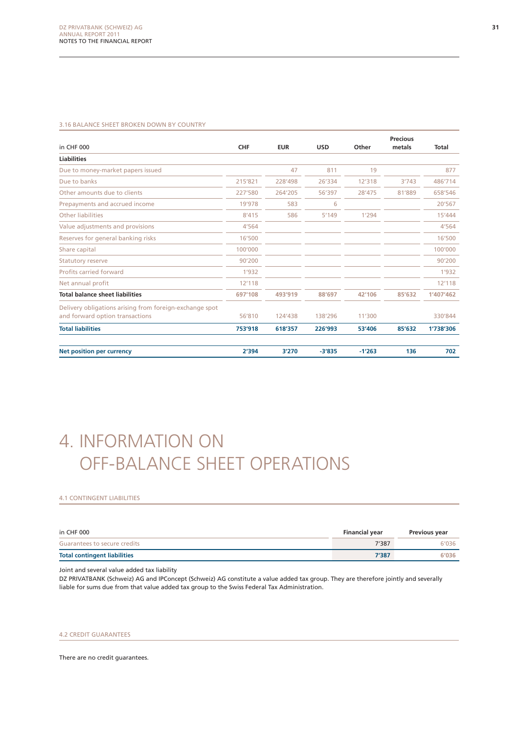#### 3.16 Balance sheet broken down by country

|                                                                                            |            |            |            |          | <b>Precious</b> |           |
|--------------------------------------------------------------------------------------------|------------|------------|------------|----------|-----------------|-----------|
| in CHF 000                                                                                 | <b>CHF</b> | <b>EUR</b> | <b>USD</b> | Other    | metals          | Total     |
| <b>Liabilities</b>                                                                         |            |            |            |          |                 |           |
| Due to money-market papers issued                                                          |            | 47         | 811        | 19       |                 | 877       |
| Due to banks                                                                               | 215'821    | 228'498    | 26'334     | 12'318   | 3'743           | 486'714   |
| Other amounts due to clients                                                               | 227'580    | 264'205    | 56'397     | 28'475   | 81'889          | 658'546   |
| Prepayments and accrued income                                                             | 19'978     | 583        | 6          |          |                 | 20'567    |
| <b>Other liabilities</b>                                                                   | 8'415      | 586        | 5'149      | 1'294    |                 | 15'444    |
| Value adjustments and provisions                                                           | 4'564      |            |            |          |                 | 4'564     |
| Reserves for general banking risks                                                         | 16'500     |            |            |          |                 | 16'500    |
| Share capital                                                                              | 100'000    |            |            |          |                 | 100'000   |
| <b>Statutory reserve</b>                                                                   | 90'200     |            |            |          |                 | 90'200    |
| Profits carried forward                                                                    | 1'932      |            |            |          |                 | 1'932     |
| Net annual profit                                                                          | 12'118     |            |            |          |                 | 12'118    |
| <b>Total balance sheet liabilities</b>                                                     | 697'108    | 493'919    | 88'697     | 42'106   | 85'632          | 1'407'462 |
| Delivery obligations arising from foreign-exchange spot<br>and forward option transactions | 56'810     | 124'438    | 138'296    | 11'300   |                 | 330'844   |
| <b>Total liabilities</b>                                                                   | 753'918    | 618'357    | 226'993    | 53'406   | 85'632          | 1'738'306 |
| Net position per currency                                                                  | 2'394      | 3'270      | $-3'835$   | $-1'263$ | 136             | 702       |

# 4. Information on off-balance sheet operations

#### 4.1 CONTINGENT LIABILITIES

| in CHF 000                          | <b>Financial year</b> | Previous year |
|-------------------------------------|-----------------------|---------------|
| Guarantees to secure credits        | 7'387                 | 6'036         |
| <b>Total contingent liabilities</b> | 7'387                 | 6'036         |

Joint and several value added tax liability

DZ PRIVATBANK (Schweiz) AG and IPConcept (Schweiz) AG constitute a value added tax group. They are therefore jointly and severally liable for sums due from that value added tax group to the Swiss Federal Tax Administration.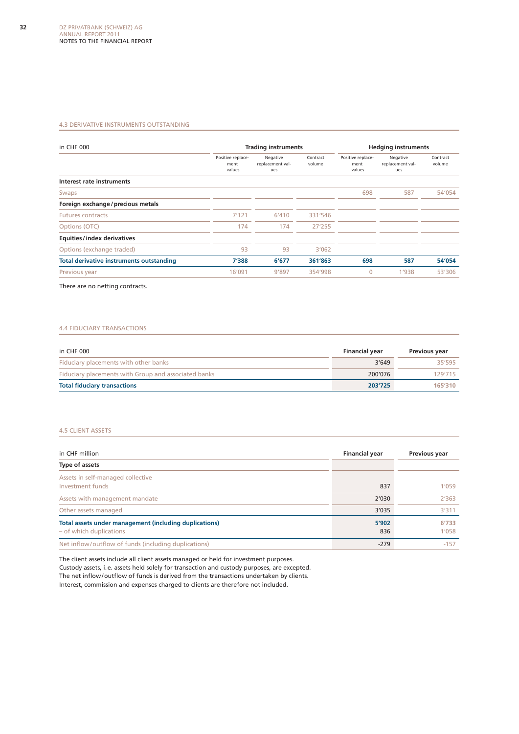#### 4.3 Derivative instruments outstanding

| in CHF 000                                      |                                     | <b>Trading instruments</b>          |                    | <b>Hedging instruments</b>          |                                     |                    |
|-------------------------------------------------|-------------------------------------|-------------------------------------|--------------------|-------------------------------------|-------------------------------------|--------------------|
|                                                 | Positive replace-<br>ment<br>values | Negative<br>replacement val-<br>ues | Contract<br>volume | Positive replace-<br>ment<br>values | Negative<br>replacement val-<br>ues | Contract<br>volume |
| Interest rate instruments                       |                                     |                                     |                    |                                     |                                     |                    |
| Swaps                                           |                                     |                                     |                    | 698                                 | 587                                 | 54'054             |
| Foreign exchange / precious metals              |                                     |                                     |                    |                                     |                                     |                    |
| <b>Futures contracts</b>                        | 7'121                               | 6'410                               | 331'546            |                                     |                                     |                    |
| Options (OTC)                                   | 174                                 | 174                                 | 27'255             |                                     |                                     |                    |
| <b>Equities/index derivatives</b>               |                                     |                                     |                    |                                     |                                     |                    |
| Options (exchange traded)                       | 93                                  | 93                                  | 3'062              |                                     |                                     |                    |
| <b>Total derivative instruments outstanding</b> | 7'388                               | 6'677                               | 361'863            | 698                                 | 587                                 | 54'054             |
| Previous year                                   | 16'091                              | 9'897                               | 354'998            | $\overline{0}$                      | 1'938                               | 53'306             |

There are no netting contracts.

#### 4.4 Fiduciary transactions

| in CHF 000                                           | <b>Financial year</b> | Previous year |
|------------------------------------------------------|-----------------------|---------------|
| Fiduciary placements with other banks                | 3'649                 | 35'595        |
| Fiduciary placements with Group and associated banks | 200'076               | 129'715       |
| <b>Total fiduciary transactions</b>                  | 203'725               | 165'310       |

#### 4.5 Client assets

| in CHF million                                                                    | <b>Financial year</b> | Previous year  |
|-----------------------------------------------------------------------------------|-----------------------|----------------|
| Type of assets                                                                    |                       |                |
| Assets in self-managed collective<br>Investment funds                             | 837                   | 1'059          |
| Assets with management mandate                                                    | 2'030                 | 2'363          |
| Other assets managed                                                              | 3'035                 | 3'311          |
| Total assets under management (including duplications)<br>- of which duplications | 5'902<br>836          | 6'733<br>1'058 |
| Net inflow/outflow of funds (including duplications)                              | $-279$                | $-157$         |

The client assets include all client assets managed or held for investment purposes. Custody assets, i.e. assets held solely for transaction and custody purposes, are excepted. The net inflow/outflow of funds is derived from the transactions undertaken by clients. Interest, commission and expenses charged to clients are therefore not included.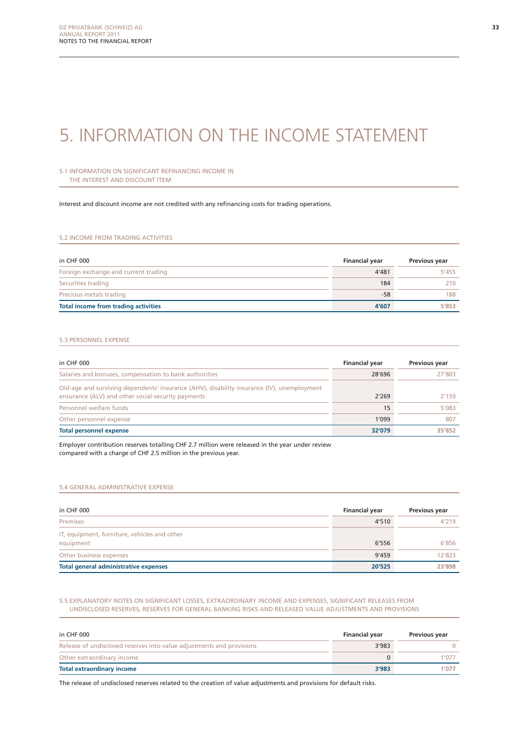# 5. Information on the income statement

#### 5.1 Information on significant refinancing income in the interest and discount item

Interest and discount income are not credited with any refinancing costs for trading operations.

#### 5.2 Income from trading activities

| in CHF 000                                  | <b>Financial year</b> | Previous year |
|---------------------------------------------|-----------------------|---------------|
| Foreign exchange and current trading        | 4'481                 | 5'455         |
| Securities trading                          | 184                   | 210           |
| Precious metals trading                     | $-58$                 | 188           |
| <b>Total income from trading activities</b> | 4'607                 | 5'853         |

#### 5.3 Personnel expense

| in CHF 000                                                                                                                                       | <b>Financial year</b> | Previous year |
|--------------------------------------------------------------------------------------------------------------------------------------------------|-----------------------|---------------|
| Salaries and bonuses, compensation to bank authorities                                                                                           | 28'696                | 27'803        |
| Old-age and surviving dependents' insurance (AHV), disability insurance (IV), unemployment<br>ensurance (ALV) and other social-security payments | 2'269                 | 2'159         |
| Personnel welfare funds                                                                                                                          | 15                    | 5'083         |
| Other personnel expense                                                                                                                          | 1'099                 | 807           |
| <b>Total personnel expense</b>                                                                                                                   | 32'079                | 35'852        |

Employer contribution reserves totalling CHF 2.7 million were released in the year under review compared with a charge of CHF 2.5 million in the previous year.

#### 5.4 General administrative expense

| in CHF 000                                                | <b>Financial year</b> | Previous year |
|-----------------------------------------------------------|-----------------------|---------------|
| Premises                                                  | 4'510                 | 4'219         |
| IT, equipment, furniture, vehicles and other<br>equipment | 6'556                 | 6'856         |
| Other business expenses                                   | 9'459                 | 12'823        |
| <b>Total general administrative expenses</b>              | 20'525                | 23'898        |

#### 5.5 Explanatory notes on significant losses, extraordinary income and expenses, significant releases from undisclosed reserves, reserves for general banking risks and released value adjustments and provisions

| in CHF 000                                                            | <b>Financial year</b> | <b>Previous year</b> |
|-----------------------------------------------------------------------|-----------------------|----------------------|
| Release of undisclosed reserves into value adjustments and provisions | 3'983                 |                      |
| Other extraordinary income                                            |                       | 1'077                |
| Total extraordinary income                                            | 3'983                 | 1'077                |

The release of undisclosed reserves related to the creation of value adjustments and provisions for default risks.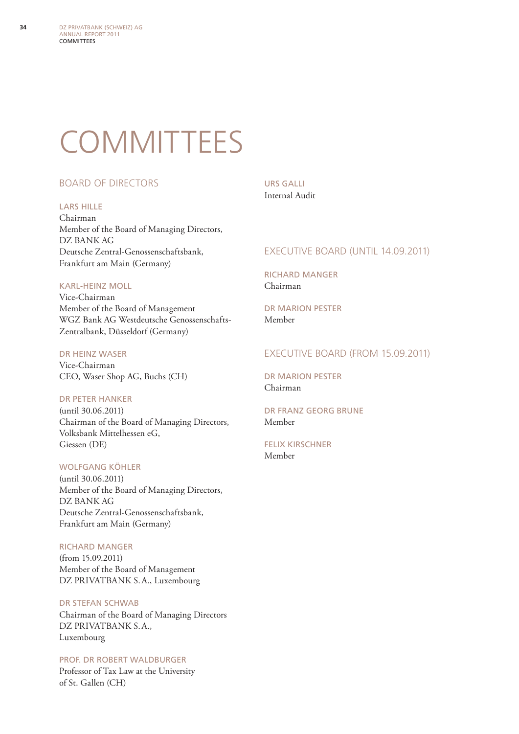# **COMMITTEES**

#### Board of Directors

#### Lars Hille

Chairman Member of the Board of Managing Directors, DZ BANK AG Deutsche Zentral-Genossenschaftsbank, Frankfurt am Main (Germany)

#### Karl-Heinz Moll

Vice-Chairman Member of the Board of Management WGZ Bank AG Westdeutsche Genossenschafts-Zentralbank, Düsseldorf (Germany)

#### Dr Heinz Waser

Vice-Chairman CEO, Waser Shop AG, Buchs (CH)

#### Dr Peter Hanker

(until 30.06.2011) Chairman of the Board of Managing Directors, Volksbank Mittelhessen eG, Giessen (DE)

#### Wolfgang Köhler

(until 30.06.2011) Member of the Board of Managing Directors, DZ BANK AG Deutsche Zentral-Genossenschaftsbank, Frankfurt am Main (Germany)

#### Richard Manger

(from 15.09.2011) Member of the Board of Management DZ PRIVATBANK S.A., Luxembourg

#### Dr Stefan Schwab

Chairman of the Board of Managing Directors DZ PRIVATBANK S.A., Luxembourg

#### Prof. Dr Robert Waldburger

Professor of Tax Law at the University of St. Gallen (CH)

#### Urs Galli Internal Audit

#### EXECUTIVE BOARD (UNTIL 14.09.2011)

Richard Manger Chairman

Dr Marion Pester Member

#### Executive Board (from 15.09.2011)

Dr Marion Pester Chairman

#### Dr Franz Georg Brune Member

Felix Kirschner Member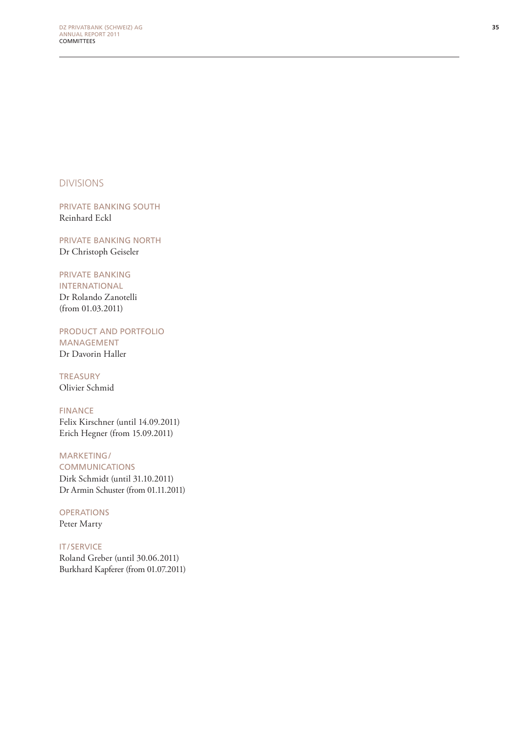Divisions

PRIVATE BANKING SOUTH Reinhard Eckl

Private Banking Nort h Dr Christoph Geiseler

#### Private Banking

International Dr Rolando Zanotelli (from 01.03.2011)

Product and Portfol io **MANAGEMENT** 

Dr Davorin Haller

**TREASURY** Olivier Schmid

**FINANCE** Felix Kirschner (until 14.09.2011) Erich Hegner (from 15.09.2011)

#### MARKETING/

**COMMUNICATIONS** Dirk Schmidt (until 31.10.2011) Dr Armin Schuster (from 01.11.2011)

**OPERATION** Peter Marty

IT / Service Roland Greber (until 30.06.2011) Burkhard Kapferer (from 01.07.2011)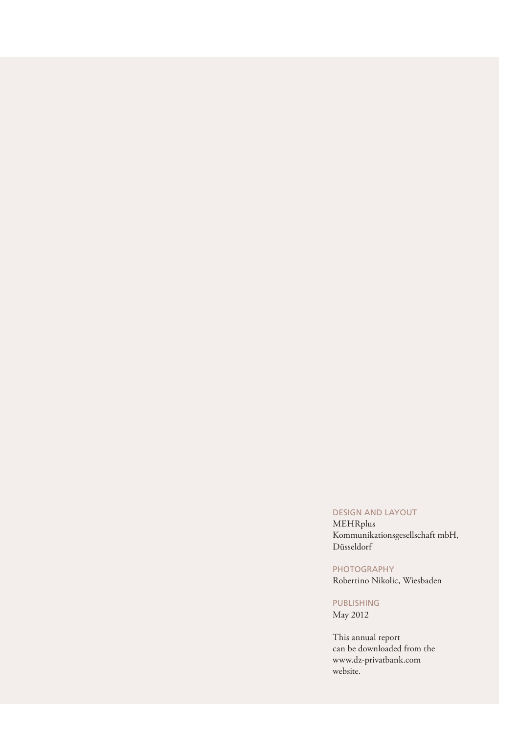#### Design and layout

MEHRplus Kommunikationsgesellschaft mbH, Düsseldorf

#### PHOTOGRAPHY

Robertino Nikolic, Wiesbaden

#### **PUBLISHING**

May 2012

This annual report can be downloaded from the www.dz-privatbank.com website.